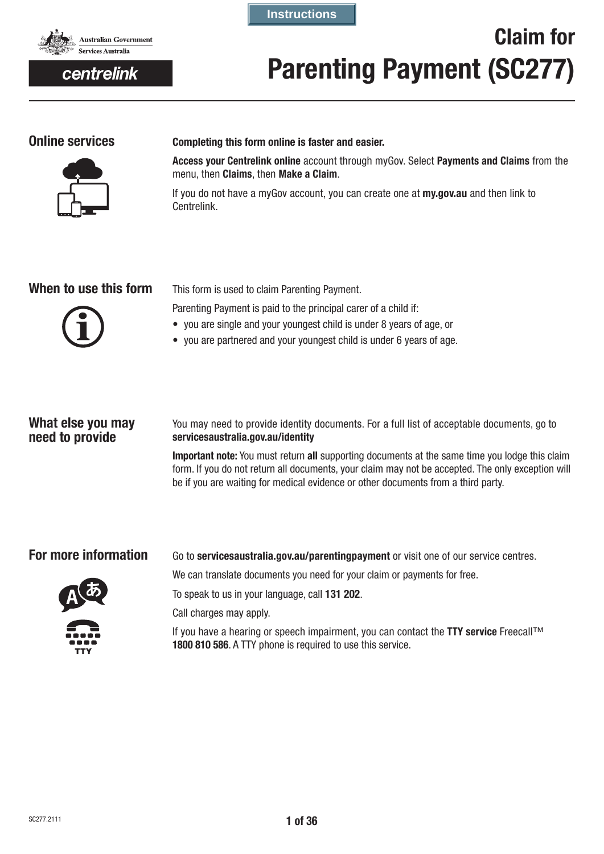

centrelink

**Instructions**

# Claim for Parenting Payment (SC277)

# Online services



# Completing this form online is faster and easier.

Access your Centrelink online account through myGov. Select Payments and Claims from the menu, then Claims, then Make a Claim.

If you do not have a myGov account, you can create one at my.gov.au and then link to Centrelink.

When to use this form This form is used to claim Parenting Payment.

Parenting Payment is paid to the principal carer of a child if:

- you are single and your youngest child is under 8 years of age, or
- you are partnered and your youngest child is under 6 years of age.

# What else you may need to provide

You may need to provide identity documents. For a full list of acceptable documents, go to servicesaustralia.gov.au/identity

Important note: You must return all supporting documents at the same time you lodge this claim form. If you do not return all documents, your claim may not be accepted. The only exception will be if you are waiting for medical evidence or other documents from a third party.



For more information Go to servicesaustralia.gov.au/parentingpayment or visit one of our service centres.

We can translate documents you need for your claim or payments for free.

To speak to us in your language, call 131 202.

Call charges may apply.

If you have a hearing or speech impairment, you can contact the TTY service Freecall™ 1800 810 586. A TTY phone is required to use this service.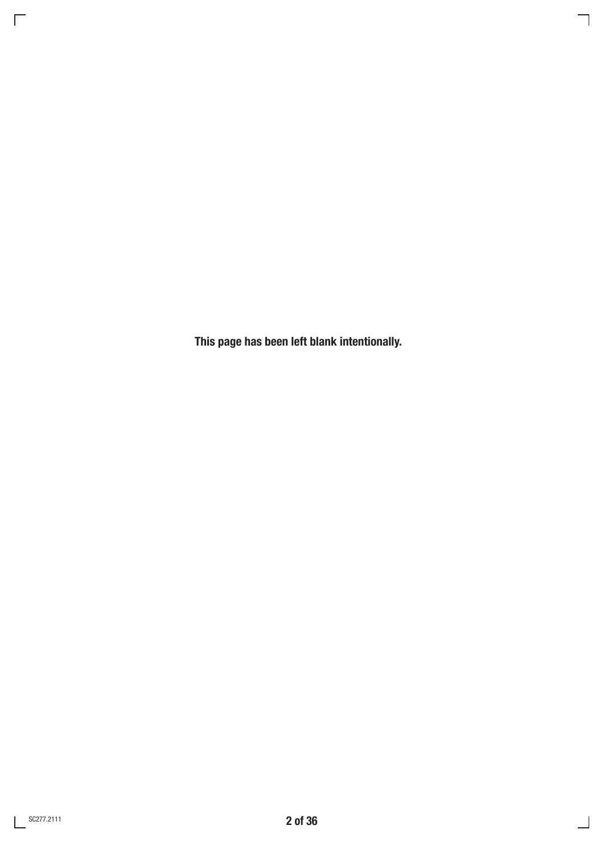This page has been left blank intentionally.

 $\overline{\phantom{0}}$ 

 $\Box$ 

 $\overline{\Gamma}$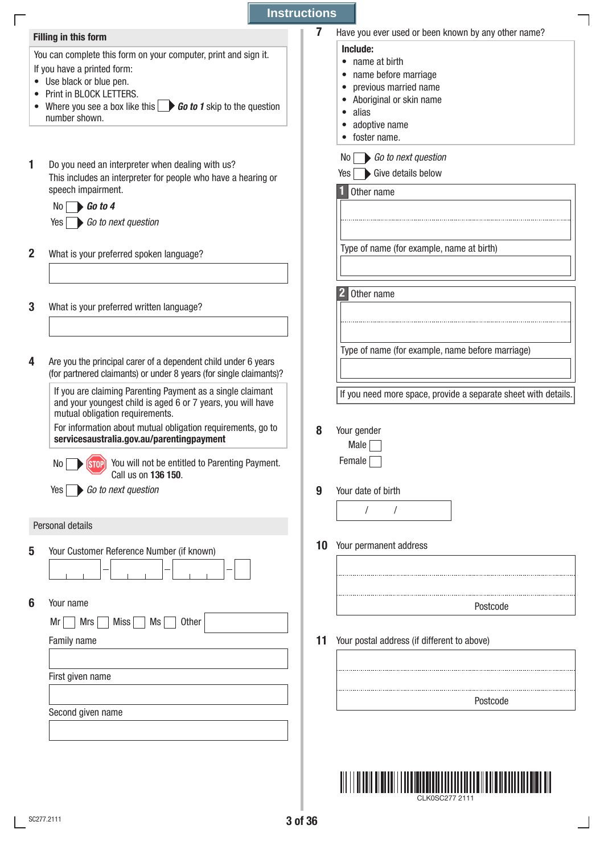|              |                                                                                                                                                                                                                                                                              | <b>Instructions</b> |                                                                                                                                                                                          |
|--------------|------------------------------------------------------------------------------------------------------------------------------------------------------------------------------------------------------------------------------------------------------------------------------|---------------------|------------------------------------------------------------------------------------------------------------------------------------------------------------------------------------------|
|              | <b>Filling in this form</b>                                                                                                                                                                                                                                                  | 7                   | Have you ever used or been known by any other name?                                                                                                                                      |
|              | You can complete this form on your computer, print and sign it.<br>If you have a printed form:<br>• Use black or blue pen.<br>Print in BLOCK LETTERS.<br>Where you see a box like this $\Box$ <b>Go to 1</b> skip to the question<br>number shown.                           |                     | Include:<br>• name at birth<br>name before marriage<br>$\bullet$<br>previous married name<br>$\bullet$<br>Aboriginal or skin name<br>alias<br>$\bullet$<br>adoptive name<br>foster name. |
| 1            | Do you need an interpreter when dealing with us?<br>This includes an interpreter for people who have a hearing or<br>speech impairment.<br>$\rightarrow$ Go to 4<br>No<br>Go to next question<br>Yes                                                                         |                     | Go to next question<br>No<br>Give details below<br>Yes<br>Other name                                                                                                                     |
| $\mathbf{2}$ | What is your preferred spoken language?                                                                                                                                                                                                                                      |                     | Type of name (for example, name at birth)                                                                                                                                                |
| 3            | What is your preferred written language?                                                                                                                                                                                                                                     |                     | 2 Other name                                                                                                                                                                             |
| 4            | Are you the principal carer of a dependent child under 6 years<br>(for partnered claimants) or under 8 years (for single claimants)?<br>If you are claiming Parenting Payment as a single claimant                                                                           |                     | Type of name (for example, name before marriage)<br>If you need more space, provide a separate sheet with details.                                                                       |
|              | and your youngest child is aged 6 or 7 years, you will have<br>mutual obligation requirements.<br>For information about mutual obligation requirements, go to<br>servicesaustralia.gov.au/parentingpayment<br>You will not be entitled to Parenting Payment.<br>No<br>[STOP] | 8                   | Your gender<br>Male<br>Female                                                                                                                                                            |
|              | Call us on 136 150.<br>$Yes \rightarrow Go$ to next question                                                                                                                                                                                                                 | 9                   | Your date of birth<br>$\sqrt{2}$                                                                                                                                                         |
|              | Personal details                                                                                                                                                                                                                                                             |                     |                                                                                                                                                                                          |
| 5            | Your Customer Reference Number (if known)                                                                                                                                                                                                                                    | 10                  | Your permanent address                                                                                                                                                                   |
| 6            | Your name<br>Mrs<br>Other<br>Miss<br>Mr <sub>1</sub><br>Ms                                                                                                                                                                                                                   |                     | Postcode                                                                                                                                                                                 |
|              | Family name                                                                                                                                                                                                                                                                  | 11                  | Your postal address (if different to above)                                                                                                                                              |
|              | First given name                                                                                                                                                                                                                                                             |                     |                                                                                                                                                                                          |
|              | Second given name                                                                                                                                                                                                                                                            |                     | Postcode                                                                                                                                                                                 |
|              |                                                                                                                                                                                                                                                                              |                     | HIIIIII                                                                                                                                                                                  |

 $\overline{\phantom{a}}$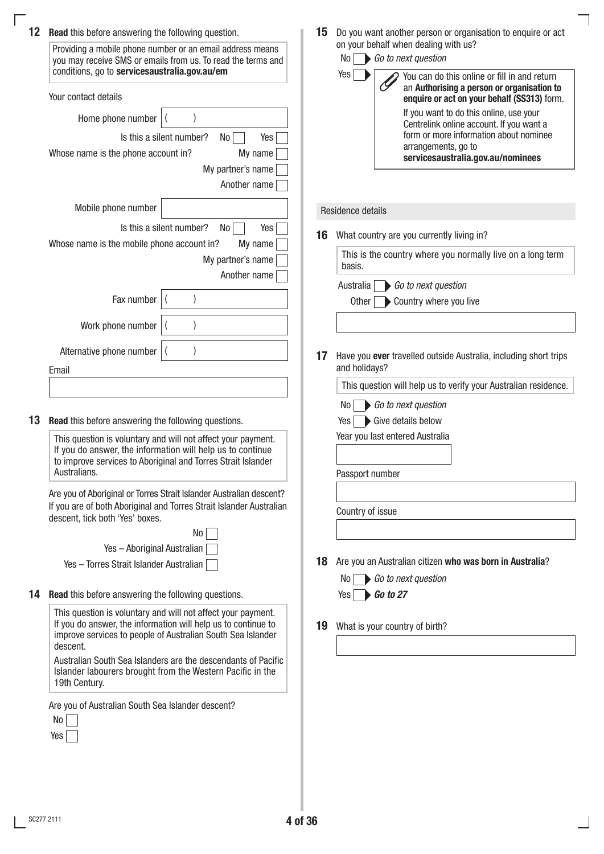| Providing a mobile phone number or an email address means<br>you may receive SMS or emails from us. To read the terms and<br>conditions, go to servicesaustralia.gov.au/em                               |    | on your behalf when dealing with us?<br>Go to next question<br>No<br>Yes<br>You can do this online or fill in and return      |
|----------------------------------------------------------------------------------------------------------------------------------------------------------------------------------------------------------|----|-------------------------------------------------------------------------------------------------------------------------------|
| Your contact details                                                                                                                                                                                     |    | an Authorising a person or organisation to<br>enquire or act on your behalf (SS313) form.                                     |
| Home phone number                                                                                                                                                                                        |    | If you want to do this online, use your<br>Centrelink online account. If you want a<br>form or more information about nominee |
| Is this a silent number?<br>No<br>Yes<br>Whose name is the phone account in?<br>My name<br>My partner's name<br>Another name                                                                             |    | arrangements, go to<br>servicesaustralia.gov.au/nominees                                                                      |
| Mobile phone number                                                                                                                                                                                      |    | Residence details                                                                                                             |
| Is this a silent number?<br>No<br>Yes                                                                                                                                                                    | 16 | What country are you currently living in?                                                                                     |
| Whose name is the mobile phone account in?<br>My name<br>My partner's name                                                                                                                               |    | This is the country where you normally live on a long term<br>basis.                                                          |
| Another name                                                                                                                                                                                             |    | Go to next question<br>Australia                                                                                              |
| Fax number                                                                                                                                                                                               |    | Country where you live<br>Other                                                                                               |
| Work phone number                                                                                                                                                                                        |    |                                                                                                                               |
| Alternative phone number                                                                                                                                                                                 | 17 | Have you ever travelled outside Australia, including short trips                                                              |
| Email                                                                                                                                                                                                    |    | and holidays?                                                                                                                 |
|                                                                                                                                                                                                          |    | This question will help us to verify your Australian residence.                                                               |
|                                                                                                                                                                                                          |    | Go to next question<br>No I                                                                                                   |
| <b>Read</b> this before answering the following questions.                                                                                                                                               |    | Give details below<br>Yes                                                                                                     |
| This question is voluntary and will not affect your payment.<br>If you do answer, the information will help us to continue<br>to improve services to Aboriginal and Torres Strait Islander               |    | Year you last entered Australia                                                                                               |
| Australians.                                                                                                                                                                                             |    | Passport number                                                                                                               |
| Are you of Aboriginal or Torres Strait Islander Australian descent?<br>If you are of both Aboriginal and Torres Strait Islander Australian<br>descent, tick both 'Yes' boxes.                            |    | Country of issue                                                                                                              |
| No                                                                                                                                                                                                       |    |                                                                                                                               |
| Yes - Aboriginal Australian                                                                                                                                                                              |    |                                                                                                                               |
| Yes - Torres Strait Islander Australian                                                                                                                                                                  | 18 | Are you an Australian citizen who was born in Australia?<br>Go to next question<br>No <sub>1</sub>                            |
| <b>Read</b> this before answering the following questions.                                                                                                                                               |    | $\bigtriangledown$ Go to 27<br>Yes                                                                                            |
| This question is voluntary and will not affect your payment.<br>If you do answer, the information will help us to continue to<br>improve services to people of Australian South Sea Islander<br>descent. | 19 | What is your country of birth?                                                                                                |
| Australian South Sea Islanders are the descendants of Pacific<br>Islander labourers brought from the Western Pacific in the<br>19th Century.                                                             |    |                                                                                                                               |
| Are you of Australian South Sea Islander descent?<br>No<br>Yes                                                                                                                                           |    |                                                                                                                               |

 $\overline{\Gamma}$ 

 $\Box$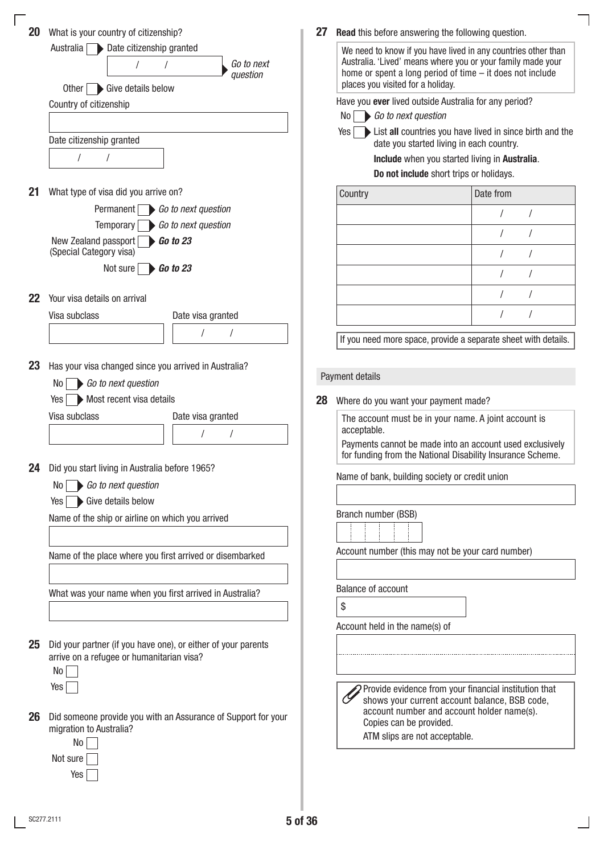| Give details below<br>Other $ $<br>Country of citizenship<br>Date citizenship granted<br>$\prime$<br>I<br>What type of visa did you arrive on?<br>Permanent   Go to next question<br>Temporary $\bigcup$ <i>Go to next question</i><br>New Zealand passport $\bigcup$ Go to 23<br>(Special Category visa)<br>Not sure $\bigcup$ 60 to 23<br>Your visa details on arrival<br>Visa subclass<br>Date visa granted<br>T<br>$\prime$<br>Has your visa changed since you arrived in Australia?<br>No l<br>Go to next question<br>Most recent visa details<br>Yes I<br>Visa subclass<br>Date visa granted<br>7<br>I<br>Did you start living in Australia before 1965?<br>$No \frown Go$ to next question<br>Yes Give details below<br>Name of the ship or airline on which you arrived<br>Name of the place where you first arrived or disembarked<br>What was your name when you first arrived in Australia?<br>arrive on a refugee or humanitarian visa?<br>No<br>Yes<br>Did someone provide you with an Assurance of Support for your<br>migration to Australia? |    | Go to next<br>$\prime$<br>T                                   |
|--------------------------------------------------------------------------------------------------------------------------------------------------------------------------------------------------------------------------------------------------------------------------------------------------------------------------------------------------------------------------------------------------------------------------------------------------------------------------------------------------------------------------------------------------------------------------------------------------------------------------------------------------------------------------------------------------------------------------------------------------------------------------------------------------------------------------------------------------------------------------------------------------------------------------------------------------------------------------------------------------------------------------------------------------------------|----|---------------------------------------------------------------|
|                                                                                                                                                                                                                                                                                                                                                                                                                                                                                                                                                                                                                                                                                                                                                                                                                                                                                                                                                                                                                                                              |    | question                                                      |
|                                                                                                                                                                                                                                                                                                                                                                                                                                                                                                                                                                                                                                                                                                                                                                                                                                                                                                                                                                                                                                                              |    |                                                               |
|                                                                                                                                                                                                                                                                                                                                                                                                                                                                                                                                                                                                                                                                                                                                                                                                                                                                                                                                                                                                                                                              |    |                                                               |
|                                                                                                                                                                                                                                                                                                                                                                                                                                                                                                                                                                                                                                                                                                                                                                                                                                                                                                                                                                                                                                                              |    |                                                               |
|                                                                                                                                                                                                                                                                                                                                                                                                                                                                                                                                                                                                                                                                                                                                                                                                                                                                                                                                                                                                                                                              |    |                                                               |
|                                                                                                                                                                                                                                                                                                                                                                                                                                                                                                                                                                                                                                                                                                                                                                                                                                                                                                                                                                                                                                                              | 21 |                                                               |
|                                                                                                                                                                                                                                                                                                                                                                                                                                                                                                                                                                                                                                                                                                                                                                                                                                                                                                                                                                                                                                                              |    |                                                               |
|                                                                                                                                                                                                                                                                                                                                                                                                                                                                                                                                                                                                                                                                                                                                                                                                                                                                                                                                                                                                                                                              |    |                                                               |
|                                                                                                                                                                                                                                                                                                                                                                                                                                                                                                                                                                                                                                                                                                                                                                                                                                                                                                                                                                                                                                                              |    |                                                               |
|                                                                                                                                                                                                                                                                                                                                                                                                                                                                                                                                                                                                                                                                                                                                                                                                                                                                                                                                                                                                                                                              |    |                                                               |
|                                                                                                                                                                                                                                                                                                                                                                                                                                                                                                                                                                                                                                                                                                                                                                                                                                                                                                                                                                                                                                                              | 22 |                                                               |
|                                                                                                                                                                                                                                                                                                                                                                                                                                                                                                                                                                                                                                                                                                                                                                                                                                                                                                                                                                                                                                                              |    |                                                               |
|                                                                                                                                                                                                                                                                                                                                                                                                                                                                                                                                                                                                                                                                                                                                                                                                                                                                                                                                                                                                                                                              |    |                                                               |
|                                                                                                                                                                                                                                                                                                                                                                                                                                                                                                                                                                                                                                                                                                                                                                                                                                                                                                                                                                                                                                                              | 23 |                                                               |
|                                                                                                                                                                                                                                                                                                                                                                                                                                                                                                                                                                                                                                                                                                                                                                                                                                                                                                                                                                                                                                                              |    |                                                               |
|                                                                                                                                                                                                                                                                                                                                                                                                                                                                                                                                                                                                                                                                                                                                                                                                                                                                                                                                                                                                                                                              |    |                                                               |
|                                                                                                                                                                                                                                                                                                                                                                                                                                                                                                                                                                                                                                                                                                                                                                                                                                                                                                                                                                                                                                                              |    |                                                               |
|                                                                                                                                                                                                                                                                                                                                                                                                                                                                                                                                                                                                                                                                                                                                                                                                                                                                                                                                                                                                                                                              |    |                                                               |
|                                                                                                                                                                                                                                                                                                                                                                                                                                                                                                                                                                                                                                                                                                                                                                                                                                                                                                                                                                                                                                                              |    |                                                               |
|                                                                                                                                                                                                                                                                                                                                                                                                                                                                                                                                                                                                                                                                                                                                                                                                                                                                                                                                                                                                                                                              | 24 |                                                               |
|                                                                                                                                                                                                                                                                                                                                                                                                                                                                                                                                                                                                                                                                                                                                                                                                                                                                                                                                                                                                                                                              |    |                                                               |
|                                                                                                                                                                                                                                                                                                                                                                                                                                                                                                                                                                                                                                                                                                                                                                                                                                                                                                                                                                                                                                                              |    |                                                               |
|                                                                                                                                                                                                                                                                                                                                                                                                                                                                                                                                                                                                                                                                                                                                                                                                                                                                                                                                                                                                                                                              |    |                                                               |
|                                                                                                                                                                                                                                                                                                                                                                                                                                                                                                                                                                                                                                                                                                                                                                                                                                                                                                                                                                                                                                                              |    |                                                               |
|                                                                                                                                                                                                                                                                                                                                                                                                                                                                                                                                                                                                                                                                                                                                                                                                                                                                                                                                                                                                                                                              |    |                                                               |
|                                                                                                                                                                                                                                                                                                                                                                                                                                                                                                                                                                                                                                                                                                                                                                                                                                                                                                                                                                                                                                                              |    |                                                               |
|                                                                                                                                                                                                                                                                                                                                                                                                                                                                                                                                                                                                                                                                                                                                                                                                                                                                                                                                                                                                                                                              |    |                                                               |
|                                                                                                                                                                                                                                                                                                                                                                                                                                                                                                                                                                                                                                                                                                                                                                                                                                                                                                                                                                                                                                                              |    |                                                               |
|                                                                                                                                                                                                                                                                                                                                                                                                                                                                                                                                                                                                                                                                                                                                                                                                                                                                                                                                                                                                                                                              |    |                                                               |
|                                                                                                                                                                                                                                                                                                                                                                                                                                                                                                                                                                                                                                                                                                                                                                                                                                                                                                                                                                                                                                                              |    |                                                               |
|                                                                                                                                                                                                                                                                                                                                                                                                                                                                                                                                                                                                                                                                                                                                                                                                                                                                                                                                                                                                                                                              |    |                                                               |
|                                                                                                                                                                                                                                                                                                                                                                                                                                                                                                                                                                                                                                                                                                                                                                                                                                                                                                                                                                                                                                                              | 25 |                                                               |
|                                                                                                                                                                                                                                                                                                                                                                                                                                                                                                                                                                                                                                                                                                                                                                                                                                                                                                                                                                                                                                                              | 26 | Did your partner (if you have one), or either of your parents |

| We need to know if you have lived in any countries other than<br>Australia. 'Lived' means where you or your family made your<br>home or spent a long period of time - it does not include<br>places you visited for a holiday. |                                                                                                                        |  |  |  |  |
|--------------------------------------------------------------------------------------------------------------------------------------------------------------------------------------------------------------------------------|------------------------------------------------------------------------------------------------------------------------|--|--|--|--|
| Have you ever lived outside Australia for any period?<br>Go to next question<br>No I<br>Yes   List all countries you have lived in since birth and the                                                                         |                                                                                                                        |  |  |  |  |
| date you started living in each country.                                                                                                                                                                                       |                                                                                                                        |  |  |  |  |
| Include when you started living in Australia.<br>Do not include short trips or holidays.                                                                                                                                       |                                                                                                                        |  |  |  |  |
| Country                                                                                                                                                                                                                        | Date from                                                                                                              |  |  |  |  |
|                                                                                                                                                                                                                                | I<br>I                                                                                                                 |  |  |  |  |
|                                                                                                                                                                                                                                | $\prime$<br>$\prime$                                                                                                   |  |  |  |  |
|                                                                                                                                                                                                                                | T<br>T                                                                                                                 |  |  |  |  |
|                                                                                                                                                                                                                                | $\prime$<br>I                                                                                                          |  |  |  |  |
|                                                                                                                                                                                                                                | T<br>I                                                                                                                 |  |  |  |  |
|                                                                                                                                                                                                                                | I<br>I                                                                                                                 |  |  |  |  |
|                                                                                                                                                                                                                                | If you need more space, provide a separate sheet with details.                                                         |  |  |  |  |
|                                                                                                                                                                                                                                |                                                                                                                        |  |  |  |  |
| Payment details                                                                                                                                                                                                                |                                                                                                                        |  |  |  |  |
| Where do you want your payment made?                                                                                                                                                                                           |                                                                                                                        |  |  |  |  |
| The account must be in your name. A joint account is<br>acceptable.                                                                                                                                                            |                                                                                                                        |  |  |  |  |
|                                                                                                                                                                                                                                | Payments cannot be made into an account used exclusively<br>for funding from the National Disability Insurance Scheme. |  |  |  |  |
| Name of bank, building society or credit union                                                                                                                                                                                 |                                                                                                                        |  |  |  |  |
|                                                                                                                                                                                                                                |                                                                                                                        |  |  |  |  |
| Branch number (BSB)                                                                                                                                                                                                            |                                                                                                                        |  |  |  |  |

\$

Account held in the name(s) of

Provide evidence from your financial institution that shows your current account balance, BSB code, account number and account holder name(s). Copies can be provided.

ATM slips are not acceptable.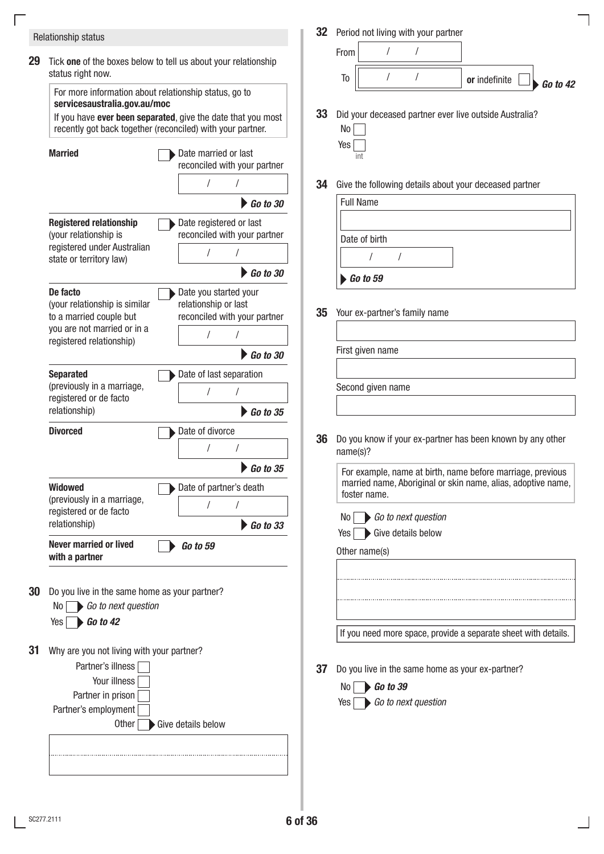$\Box$ 

| For more information about relationship status, go to<br>servicesaustralia.gov.au/moc |                                                                                                                            |  |  |  |  |  |
|---------------------------------------------------------------------------------------|----------------------------------------------------------------------------------------------------------------------------|--|--|--|--|--|
|                                                                                       | If you have ever been separated, give the date that you most<br>recently got back together (reconciled) with your partner. |  |  |  |  |  |
| <b>Married</b>                                                                        | Date married or last<br>reconciled with your partner                                                                       |  |  |  |  |  |
|                                                                                       | 1<br>$\prime$                                                                                                              |  |  |  |  |  |
|                                                                                       | $\triangleright$ Go to 30                                                                                                  |  |  |  |  |  |
| <b>Registered relationship</b>                                                        | Date registered or last                                                                                                    |  |  |  |  |  |
| (your relationship is<br>registered under Australian                                  | reconciled with your partner                                                                                               |  |  |  |  |  |
| state or territory law)                                                               | Ι<br>Ι                                                                                                                     |  |  |  |  |  |
|                                                                                       | $\cdot$ Go to 30                                                                                                           |  |  |  |  |  |
| De facto                                                                              | Date you started your                                                                                                      |  |  |  |  |  |
| (your relationship is similar<br>to a married couple but                              | relationship or last<br>reconciled with your partner                                                                       |  |  |  |  |  |
| you are not married or in a                                                           | /<br>/                                                                                                                     |  |  |  |  |  |
| registered relationship)                                                              |                                                                                                                            |  |  |  |  |  |
|                                                                                       | $\blacktriangleright$ Go to 30                                                                                             |  |  |  |  |  |
| <b>Separated</b><br>(previously in a marriage,                                        | ▶ Date of last separation                                                                                                  |  |  |  |  |  |
| registered or de facto                                                                | I<br>I                                                                                                                     |  |  |  |  |  |
| relationship)                                                                         | $\bigtriangledown$ Go to 35                                                                                                |  |  |  |  |  |
| <b>Divorced</b>                                                                       | Date of divorce                                                                                                            |  |  |  |  |  |
|                                                                                       | Ι                                                                                                                          |  |  |  |  |  |
|                                                                                       | Go to 35                                                                                                                   |  |  |  |  |  |
| <b>Widowed</b>                                                                        | Date of partner's death                                                                                                    |  |  |  |  |  |
| (previously in a marriage,<br>registered or de facto                                  | Ι<br>Ι                                                                                                                     |  |  |  |  |  |
| relationship)                                                                         | $\bigtriangledown$ Go to 33                                                                                                |  |  |  |  |  |
| <b>Never married or lived</b><br>with a partner                                       | Go to 59                                                                                                                   |  |  |  |  |  |
| Do you live in the same home as your partner?                                         |                                                                                                                            |  |  |  |  |  |
| Go to next question<br>No <sub>1</sub>                                                |                                                                                                                            |  |  |  |  |  |
| Yes $\bigcirc$ Go to 42                                                               |                                                                                                                            |  |  |  |  |  |
| Why are you not living with your partner?                                             |                                                                                                                            |  |  |  |  |  |
| Partner's illness                                                                     |                                                                                                                            |  |  |  |  |  |
| Your illness                                                                          |                                                                                                                            |  |  |  |  |  |
| Partner in prison<br>Partner's employment                                             |                                                                                                                            |  |  |  |  |  |
| Other                                                                                 | Give details below                                                                                                         |  |  |  |  |  |
|                                                                                       |                                                                                                                            |  |  |  |  |  |

| 32 | Period not living with your partner                                                         |
|----|---------------------------------------------------------------------------------------------|
|    | $\sqrt{2}$<br>$\sqrt{\phantom{a}}$<br>From                                                  |
|    | $\sqrt{2}$<br>$\sqrt{2}$<br>To<br>or indefinite<br><b>Go to 42</b>                          |
| 33 | Did your deceased partner ever live outside Australia?<br>No<br>Yes<br>int                  |
| 34 | Give the following details about your deceased partner                                      |
|    | <b>Full Name</b>                                                                            |
|    |                                                                                             |
|    | Date of birth                                                                               |
|    |                                                                                             |
|    | $\prime$<br>$\prime$                                                                        |
|    | $\bigtriangledown$ Go to 59                                                                 |
| 35 | Your ex-partner's family name                                                               |
|    | First given name                                                                            |
|    |                                                                                             |
|    | Second given name                                                                           |
|    |                                                                                             |
| 36 | Do you know if your ex-partner has been known by any other<br>name(s)?                      |
|    | For example, name at birth, name before marriage, previous<br>foster name.                  |
|    | married name, Aboriginal or skin name, alias, adoptive name,<br>Go to next question<br>No I |
|    | Give details below<br>Yes                                                                   |

If you need more space, provide a separate sheet with details.

 $\overline{\phantom{a}}$ 

37 Do you live in the same home as your ex-partner?



I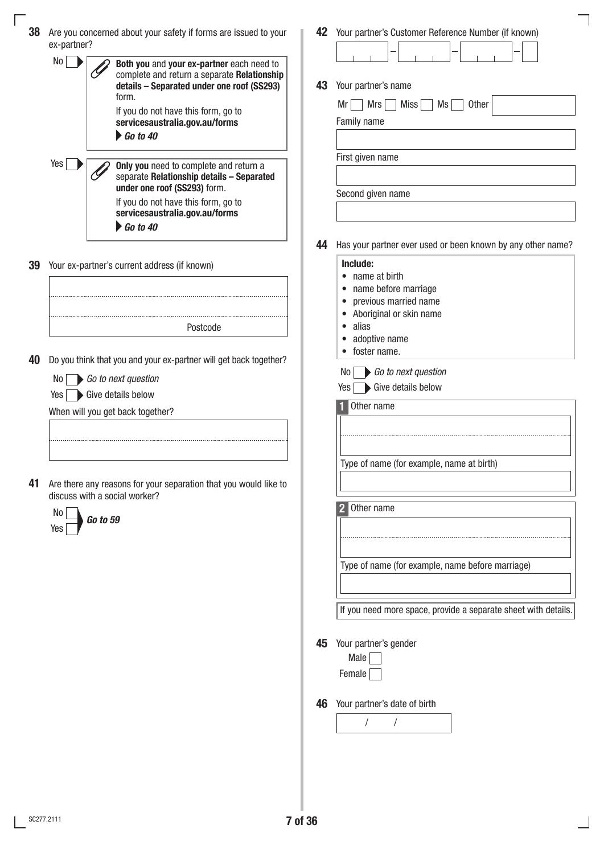| No<br>Yes                                  | ex-partner?<br>Both you and your ex-partner each need to<br>complete and return a separate Relationship<br>details - Separated under one roof (SS293)<br>form.<br>If you do not have this form, go to<br>servicesaustralia.gov.au/forms<br>$\triangleright$ Go to 40<br>Only you need to complete and return a<br>separate Relationship details - Separated<br>under one roof (SS293) form.<br>If you do not have this form, go to<br>servicesaustralia.gov.au/forms<br>$\triangleright$ Go to 40 | 43             | Your partner's name<br>Mrs<br><b>Miss</b><br><b>Other</b><br>Ms<br>Mr<br>Family name<br>First given name<br>Second given name                                                                                                                                                                                                                                                                                                                                                                                                                                                                                                                       |
|--------------------------------------------|---------------------------------------------------------------------------------------------------------------------------------------------------------------------------------------------------------------------------------------------------------------------------------------------------------------------------------------------------------------------------------------------------------------------------------------------------------------------------------------------------|----------------|-----------------------------------------------------------------------------------------------------------------------------------------------------------------------------------------------------------------------------------------------------------------------------------------------------------------------------------------------------------------------------------------------------------------------------------------------------------------------------------------------------------------------------------------------------------------------------------------------------------------------------------------------------|
| 39<br>40<br>No<br>Yes  <br>41<br>No<br>Yes | Your ex-partner's current address (if known)<br>Postcode<br>Do you think that you and your ex-partner will get back together?<br>Go to next question<br>Give details below<br>When will you get back together?<br>Are there any reasons for your separation that you would like to<br>discuss with a social worker?<br>Go to 59                                                                                                                                                                   | 44<br>45<br>46 | Has your partner ever used or been known by any other name?<br>Include:<br>• name at birth<br>• name before marriage<br>previous married name<br>$\bullet$<br>Aboriginal or skin name<br>$\bullet$<br>alias<br>$\bullet$<br>adoptive name<br>$\bullet$<br>foster name.<br>$\bullet$<br>Go to next question<br>No<br>Give details below<br>Yes<br>Other name<br>Type of name (for example, name at birth)<br>Other name<br>Type of name (for example, name before marriage)<br>If you need more space, provide a separate sheet with details.<br>Your partner's gender<br>Male<br>Female<br>Your partner's date of birth<br>$\sqrt{2}$<br>$\sqrt{2}$ |
| SC277.2111                                 |                                                                                                                                                                                                                                                                                                                                                                                                                                                                                                   | 7 of 36        |                                                                                                                                                                                                                                                                                                                                                                                                                                                                                                                                                                                                                                                     |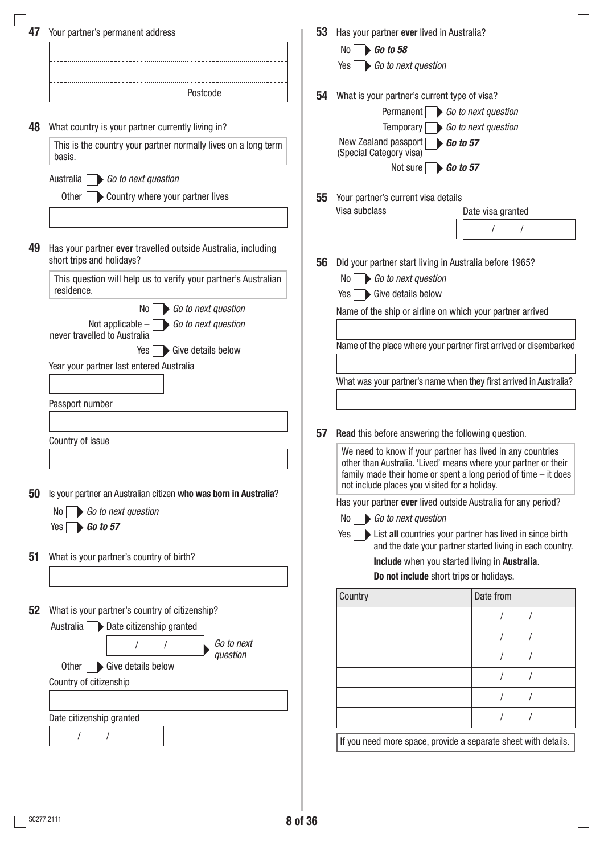| 47             | Your partner's permanent address                                                          | 53 | Has your partner ever lived in Australia?<br>$\bigtriangledown$ Go to 58<br>No                                                                                                                       |
|----------------|-------------------------------------------------------------------------------------------|----|------------------------------------------------------------------------------------------------------------------------------------------------------------------------------------------------------|
|                |                                                                                           |    | Go to next question<br>Yes I                                                                                                                                                                         |
|                |                                                                                           |    |                                                                                                                                                                                                      |
|                | Postcode                                                                                  | 54 | What is your partner's current type of visa?                                                                                                                                                         |
|                |                                                                                           |    | Permanent Go to next question                                                                                                                                                                        |
| 48             | What country is your partner currently living in?                                         |    | Go to next question<br><b>Temporary</b><br>New Zealand passport                                                                                                                                      |
|                | This is the country your partner normally lives on a long term<br>basis.                  |    | $\bullet$ Go to 57<br>(Special Category visa)<br>Not sure<br>$\bigtriangleright$ Go to 57                                                                                                            |
|                | Go to next question<br>Australia                                                          |    |                                                                                                                                                                                                      |
|                | Country where your partner lives<br>Other                                                 | 55 | Your partner's current visa details<br>Visa subclass<br>Date visa granted                                                                                                                            |
|                |                                                                                           |    |                                                                                                                                                                                                      |
| 49             | Has your partner ever travelled outside Australia, including<br>short trips and holidays? | 56 | Did your partner start living in Australia before 1965?                                                                                                                                              |
|                | This question will help us to verify your partner's Australian                            |    | Go to next question<br>No.                                                                                                                                                                           |
|                | residence.                                                                                |    | Yes Give details below                                                                                                                                                                               |
|                | Go to next question<br>No I                                                               |    | Name of the ship or airline on which your partner arrived                                                                                                                                            |
|                | Not applicable $-$ [<br>Go to next question<br>never travelled to Australia               |    |                                                                                                                                                                                                      |
|                | Give details below<br>Yes                                                                 |    | Name of the place where your partner first arrived or disembarked                                                                                                                                    |
|                |                                                                                           |    |                                                                                                                                                                                                      |
|                | Year your partner last entered Australia                                                  |    |                                                                                                                                                                                                      |
|                |                                                                                           |    |                                                                                                                                                                                                      |
|                | Passport number                                                                           |    |                                                                                                                                                                                                      |
|                |                                                                                           |    |                                                                                                                                                                                                      |
|                | Country of issue                                                                          | 57 | <b>Read</b> this before answering the following question.                                                                                                                                            |
|                |                                                                                           |    | We need to know if your partner has lived in any countries                                                                                                                                           |
|                |                                                                                           |    | other than Australia. 'Lived' means where your partner or their                                                                                                                                      |
|                | Is your partner an Australian citizen who was born in Australia?                          |    | not include places you visited for a holiday.                                                                                                                                                        |
|                | $\mathsf{No}$ $\blacktriangleright$ Go to next question                                   |    | Has your partner ever lived outside Australia for any period?                                                                                                                                        |
|                | $\rightarrow$ Go to 57<br>Yes                                                             |    | Go to next question<br>No I                                                                                                                                                                          |
|                |                                                                                           |    | List all countries your partner has lived in since birth<br>Yes                                                                                                                                      |
|                | What is your partner's country of birth?                                                  |    | Include when you started living in Australia.                                                                                                                                                        |
|                |                                                                                           |    | Do not include short trips or holidays.                                                                                                                                                              |
|                |                                                                                           |    | Country<br>Date from                                                                                                                                                                                 |
|                | What is your partner's country of citizenship?                                            |    |                                                                                                                                                                                                      |
|                | Date citizenship granted<br>Australia                                                     |    |                                                                                                                                                                                                      |
|                | Go to next<br>question                                                                    |    |                                                                                                                                                                                                      |
|                | Give details below<br>Other                                                               |    |                                                                                                                                                                                                      |
|                | Country of citizenship                                                                    |    |                                                                                                                                                                                                      |
| 50<br>51<br>52 | Date citizenship granted                                                                  |    | What was your partner's name when they first arrived in Australia?<br>family made their home or spent a long period of time $-$ it does<br>and the date your partner started living in each country. |

 $\frac{1}{2}$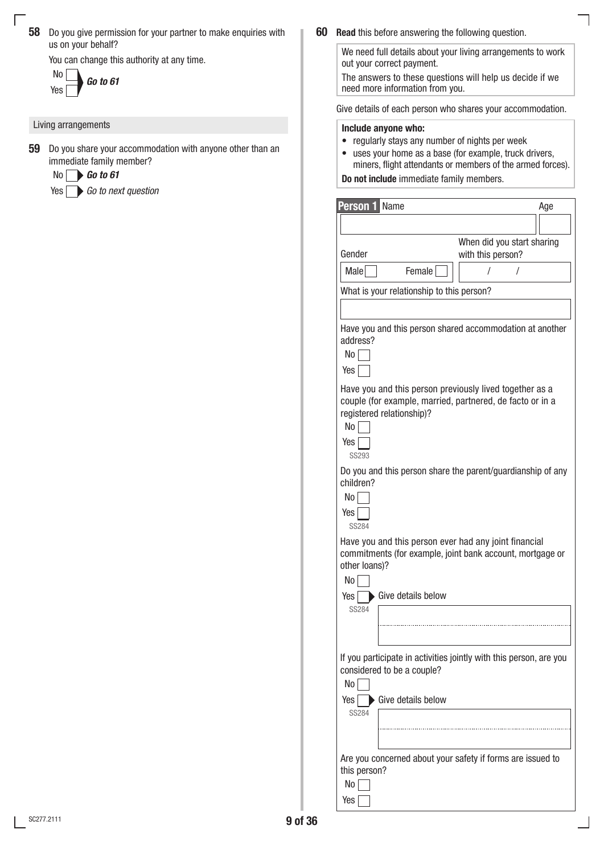**58** Do you give permission for your partner to make enquiries with  $\blacksquare$  60 us on your behalf?

You can change this authority at any time.



Living arrangements

59 Do you share your accommodation with anyone other than an immediate family member?



Read this before answering the following question.

We need full details about your living arrangements to work out your correct payment.

The answers to these questions will help us decide if we need more information from you.

Give details of each person who shares your accommodation.

### Include anyone who:

- regularly stays any number of nights per week
- uses your home as a base (for example, truck drivers, miners, flight attendants or members of the armed forces).

Do not include immediate family members.

| Person 1                        | Name                                      |                                                                                                                      | Age |
|---------------------------------|-------------------------------------------|----------------------------------------------------------------------------------------------------------------------|-----|
|                                 |                                           |                                                                                                                      |     |
| Gender                          |                                           | When did you start sharing<br>with this person?                                                                      |     |
| <b>Male</b>                     | Female                                    | $\prime$<br>I                                                                                                        |     |
|                                 | What is your relationship to this person? |                                                                                                                      |     |
|                                 |                                           |                                                                                                                      |     |
| address?<br>No<br>Yes           |                                           | Have you and this person shared accommodation at another                                                             |     |
| No<br>Yes<br><b>SS293</b>       | registered relationship)?                 | Have you and this person previously lived together as a<br>couple (for example, married, partnered, de facto or in a |     |
| children?<br>No<br>Yes<br>SS284 |                                           | Do you and this person share the parent/guardianship of any                                                          |     |
| other loans)?<br>No             |                                           | Have you and this person ever had any joint financial<br>commitments (for example, joint bank account, mortgage or   |     |
| Yes                             | Give details below                        |                                                                                                                      |     |
| SS284                           |                                           |                                                                                                                      |     |
| No                              | considered to be a couple?                | If you participate in activities jointly with this person, are you                                                   |     |
| Yes                             | Give details below                        |                                                                                                                      |     |
| SS284                           |                                           |                                                                                                                      |     |
| this person?<br>No<br>Yes       |                                           | Are you concerned about your safety if forms are issued to                                                           |     |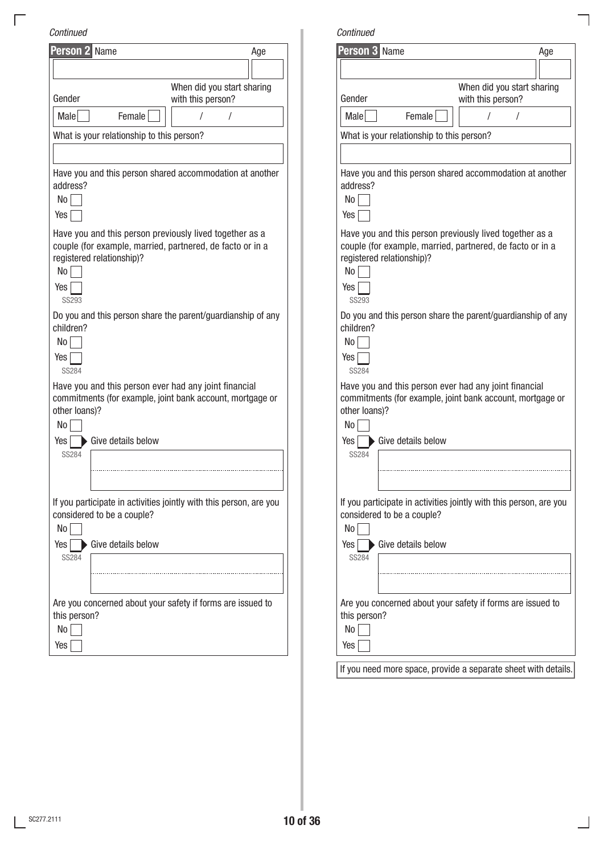# *Continued*

Г

| Continued                                                          | Continued                                                      |
|--------------------------------------------------------------------|----------------------------------------------------------------|
| <b>Person 2 Name</b>                                               | <b>Person 3 Name</b>                                           |
| Age                                                                | Age                                                            |
|                                                                    |                                                                |
| When did you start sharing                                         | When did you start sharir                                      |
| Gender                                                             | Gender                                                         |
| with this person?                                                  | with this person?                                              |
| Male                                                               | Male                                                           |
| Female                                                             | Female                                                         |
| What is your relationship to this person?                          | What is your relationship to this person?                      |
|                                                                    |                                                                |
| Have you and this person shared accommodation at another           | Have you and this person shared accommodation at ano           |
| address?                                                           | address?                                                       |
| No                                                                 | No                                                             |
| Yes                                                                | Yes                                                            |
| Have you and this person previously lived together as a            | Have you and this person previously lived together as a        |
| couple (for example, married, partnered, de facto or in a          | couple (for example, married, partnered, de facto or in a      |
| registered relationship)?                                          | registered relationship)?                                      |
| No                                                                 | No                                                             |
| Yes                                                                | Yes                                                            |
| <b>SS293</b>                                                       | <b>SS293</b>                                                   |
| Do you and this person share the parent/guardianship of any        | Do you and this person share the parent/guardianship of        |
| children?                                                          | children?                                                      |
| No                                                                 | No                                                             |
| Yes                                                                | Yes                                                            |
| <b>SS284</b>                                                       | <b>SS284</b>                                                   |
| Have you and this person ever had any joint financial              | Have you and this person ever had any joint financial          |
| commitments (for example, joint bank account, mortgage or          | commitments (for example, joint bank account, mortgage         |
| other loans)?                                                      | other loans)?                                                  |
| No                                                                 | No                                                             |
| Give details below                                                 | Give details below                                             |
| Yes                                                                | Yes                                                            |
| <b>SS284</b>                                                       | <b>SS284</b>                                                   |
|                                                                    |                                                                |
| If you participate in activities jointly with this person, are you | If you participate in activities jointly with this person, are |
| considered to be a couple?                                         | considered to be a couple?                                     |
| No                                                                 | No                                                             |
| Give details below                                                 | Give details below                                             |
| Yes                                                                | Yes                                                            |
| <b>SS284</b>                                                       | <b>SS284</b>                                                   |
|                                                                    |                                                                |
|                                                                    |                                                                |
| Are you concerned about your safety if forms are issued to         | Are you concerned about your safety if forms are issued        |
| this person?                                                       | this person?                                                   |
| No                                                                 | <b>No</b>                                                      |
| Yes                                                                | Yes                                                            |
|                                                                    |                                                                |

When did you start sharing with this person? ship to this person? rson shared accommodation at another erson previously lived together as a married, partnered, de facto or in a ip)? on share the parent/guardianship of any erson ever had any joint financial ample, joint bank account, mortgage or ctivities jointly with this person, are you ouple? out your safety if forms are issued to

If you need more space, provide a separate sheet with details.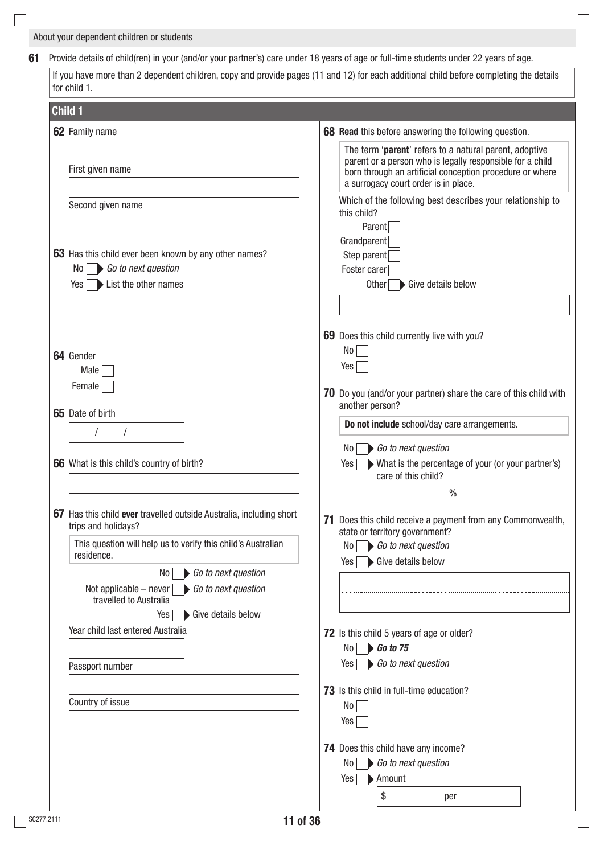$\Box$ 

61 Provide details of child(ren) in your (and/or your partner's) care under 18 years of age or full-time students under 22 years of age.

If you have more than 2 dependent children, copy and provide pages (11 and 12) for each additional child before completing the details for child 1.

٦

| Child 1 |                                                                                                                                        |                                                                                                                                                                                                                         |
|---------|----------------------------------------------------------------------------------------------------------------------------------------|-------------------------------------------------------------------------------------------------------------------------------------------------------------------------------------------------------------------------|
|         | 62 Family name                                                                                                                         | 68 Read this before answering the following question.                                                                                                                                                                   |
|         | First given name                                                                                                                       | The term 'parent' refers to a natural parent, adoptive<br>parent or a person who is legally responsible for a child<br>born through an artificial conception procedure or where<br>a surrogacy court order is in place. |
|         | Second given name<br>63 Has this child ever been known by any other names?<br>Go to next question<br>No<br>List the other names<br>Yes | Which of the following best describes your relationship to<br>this child?<br>Parent<br>Grandparent<br>Step parent<br>Foster carer<br><b>Other</b><br>Give details below                                                 |
|         | 64 Gender                                                                                                                              | 69 Does this child currently live with you?<br>No<br>Yes                                                                                                                                                                |
|         | Male<br>Female                                                                                                                         | <b>70</b> Do you (and/or your partner) share the care of this child with                                                                                                                                                |
|         | 65 Date of birth                                                                                                                       | another person?                                                                                                                                                                                                         |
|         |                                                                                                                                        | Do not include school/day care arrangements.                                                                                                                                                                            |
|         | 66 What is this child's country of birth?                                                                                              | Go to next question<br>No<br>What is the percentage of your (or your partner's)<br>Yes<br>care of this child?<br>$\%$                                                                                                   |
|         | 67 Has this child ever travelled outside Australia, including short<br>trips and holidays?                                             | 71 Does this child receive a payment from any Commonwealth,<br>state or territory government?                                                                                                                           |
|         | This question will help us to verify this child's Australian<br>residence.                                                             | Go to next question<br>No<br>Give details below<br>Yes                                                                                                                                                                  |
|         | Go to next question<br>No<br>Not applicable - never<br>Go to next question<br>travelled to Australia<br>Give details below<br>Yes      |                                                                                                                                                                                                                         |
|         | Year child last entered Australia                                                                                                      | <b>72</b> Is this child 5 years of age or older?<br>$\bullet$ Go to 75<br>No.                                                                                                                                           |
|         | Passport number                                                                                                                        | Go to next question<br>Yes                                                                                                                                                                                              |
|         | Country of issue                                                                                                                       | 73 Is this child in full-time education?<br>No<br>Yes                                                                                                                                                                   |
|         |                                                                                                                                        | 74 Does this child have any income?<br>Go to next question<br>No.<br>Amount<br>Yes<br>\$<br>per                                                                                                                         |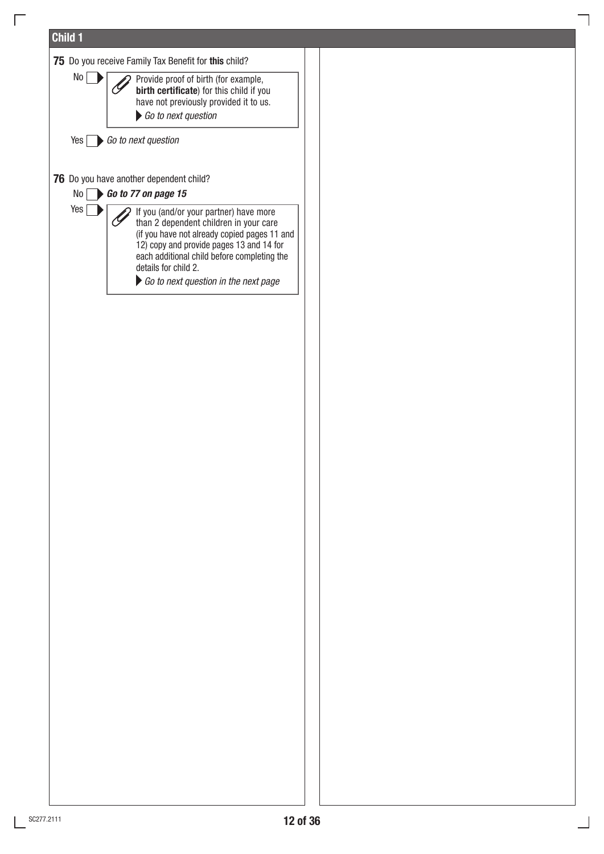

 $\Box$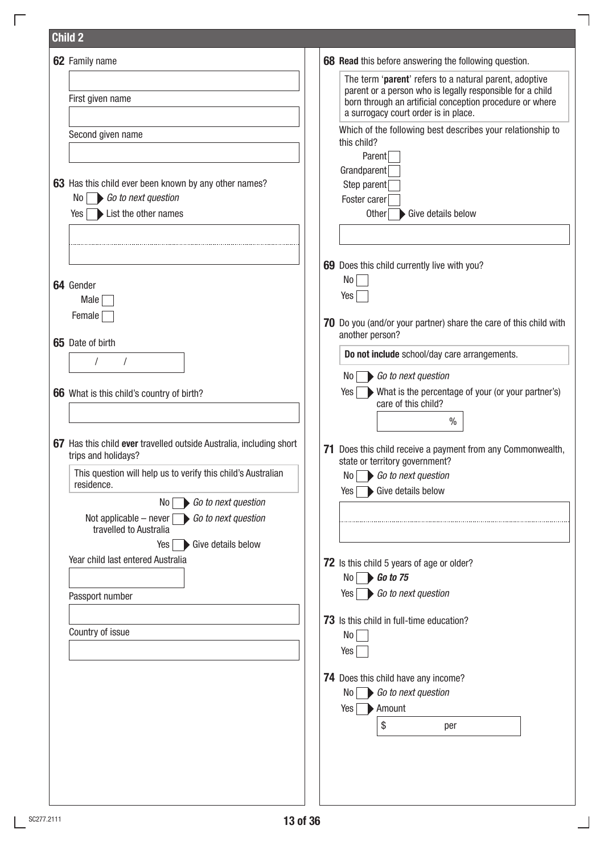| <b>Child 2</b>                                                                                                       |                                                                                                                                                                                                                         |
|----------------------------------------------------------------------------------------------------------------------|-------------------------------------------------------------------------------------------------------------------------------------------------------------------------------------------------------------------------|
| 62 Family name                                                                                                       | 68 Read this before answering the following question.                                                                                                                                                                   |
| First given name                                                                                                     | The term 'parent' refers to a natural parent, adoptive<br>parent or a person who is legally responsible for a child<br>born through an artificial conception procedure or where<br>a surrogacy court order is in place. |
| Second given name                                                                                                    | Which of the following best describes your relationship to<br>this child?<br>Parent                                                                                                                                     |
| 63 Has this child ever been known by any other names?<br>Go to next question<br>No I<br>List the other names<br>Yes  | Grandparent<br>Step parent<br>Foster carer<br>Other<br>Give details below                                                                                                                                               |
|                                                                                                                      | 69 Does this child currently live with you?                                                                                                                                                                             |
| 64 Gender<br>Male<br>Female                                                                                          | No<br>Yes<br>70 Do you (and/or your partner) share the care of this child with                                                                                                                                          |
| 65 Date of birth                                                                                                     | another person?<br>Do not include school/day care arrangements.<br>Go to next question<br>No                                                                                                                            |
| 66 What is this child's country of birth?                                                                            | What is the percentage of your (or your partner's)<br>Yes<br>care of this child?<br>$\%$                                                                                                                                |
| 67 Has this child ever travelled outside Australia, including short<br>trips and holidays?                           | 71 Does this child receive a payment from any Commonwealth,                                                                                                                                                             |
| This question will help us to verify this child's Australian<br>residence.<br>Go to next question<br>No <sub>1</sub> | state or territory government?<br>Go to next question<br>No<br>Give details below<br>Yes                                                                                                                                |
| Not applicable $-$ never $\vert$<br>Go to next question<br>travelled to Australia<br>Give details below<br>Yes       |                                                                                                                                                                                                                         |
| Year child last entered Australia                                                                                    | <b>72</b> Is this child 5 years of age or older?<br>$\bullet$ Go to 75<br>No<br>Go to next question<br>Yes                                                                                                              |
| Passport number<br>Country of issue                                                                                  | <b>73</b> Is this child in full-time education?                                                                                                                                                                         |
|                                                                                                                      | No<br>Yes                                                                                                                                                                                                               |
|                                                                                                                      | 74 Does this child have any income?<br>Go to next question<br>No<br>Amount<br>Yes<br>\$<br>per                                                                                                                          |
|                                                                                                                      |                                                                                                                                                                                                                         |

٦

 $\frac{1}{2}$ 

 $\overline{\Gamma}$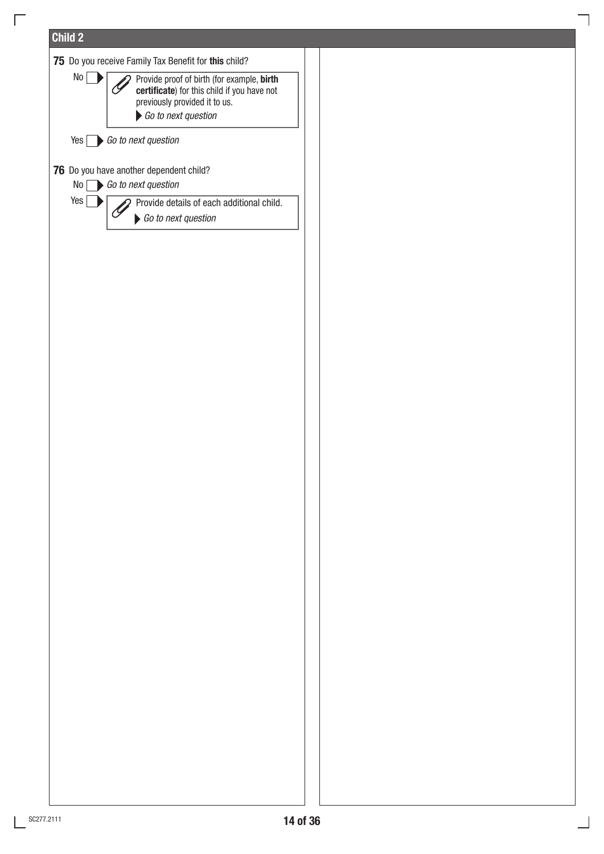

 $\Box$ 

٦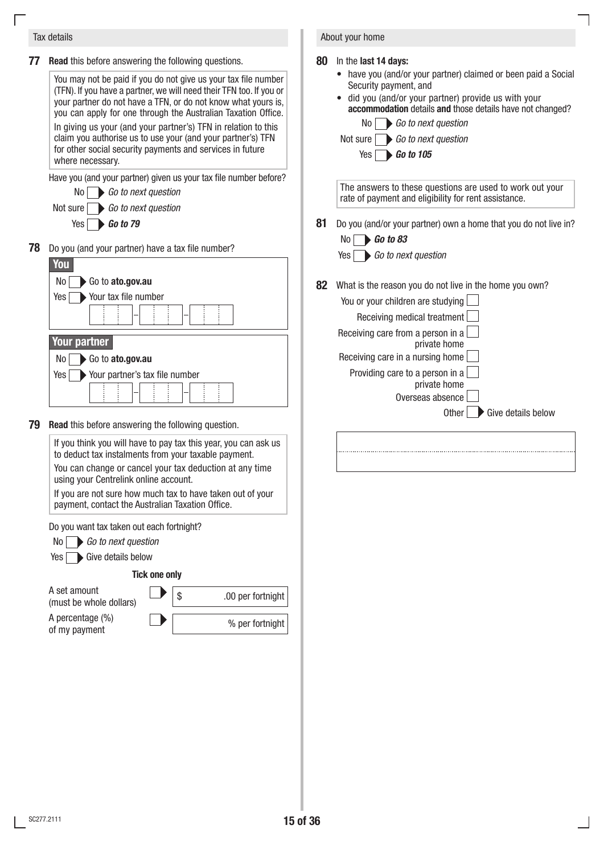|    | Tax details                                                                                                                                                                                                                                                                                                                                                                                                                                                                                                                                                                                                                                                                                                      |          | About your home                                                                                                                                                                                                                                                                                                                                                                                                                                                                                                                   |
|----|------------------------------------------------------------------------------------------------------------------------------------------------------------------------------------------------------------------------------------------------------------------------------------------------------------------------------------------------------------------------------------------------------------------------------------------------------------------------------------------------------------------------------------------------------------------------------------------------------------------------------------------------------------------------------------------------------------------|----------|-----------------------------------------------------------------------------------------------------------------------------------------------------------------------------------------------------------------------------------------------------------------------------------------------------------------------------------------------------------------------------------------------------------------------------------------------------------------------------------------------------------------------------------|
| 77 | <b>Read</b> this before answering the following questions.<br>You may not be paid if you do not give us your tax file number<br>(TFN). If you have a partner, we will need their TFN too. If you or<br>your partner do not have a TFN, or do not know what yours is,<br>you can apply for one through the Australian Taxation Office.<br>In giving us your (and your partner's) TFN in relation to this<br>claim you authorise us to use your (and your partner's) TFN<br>for other social security payments and services in future<br>where necessary.<br>Have you (and your partner) given us your tax file number before?<br>Go to next question<br>No.<br>Go to next question<br>Not sure<br>Go to 79<br>Yes | 80<br>81 | In the last 14 days:<br>• have you (and/or your partner) claimed or been paid a Social<br>Security payment, and<br>• did you (and/or your partner) provide us with your<br>accommodation details and those details have not changed?<br>Go to next question<br>No<br>Go to next question<br>Not sure<br>$\triangleright$ Go to 105<br>Yes<br>The answers to these questions are used to work out your<br>rate of payment and eligibility for rent assistance.<br>Do you (and/or your partner) own a home that you do not live in? |
| 78 | Do you (and your partner) have a tax file number?<br>You<br>Go to ato.gov.au<br>No<br>Your tax file number<br>Yes<br>Your partner<br>Go to ato.gov.au<br>No<br>Your partner's tax file number<br>Yes                                                                                                                                                                                                                                                                                                                                                                                                                                                                                                             | 82       | $\bigtriangleright$ Go to 83<br>No<br>Go to next question<br>Yes<br>What is the reason you do not live in the home you own?<br>You or your children are studying<br>Receiving medical treatment<br>Receiving care from a person in a<br>private home<br>Receiving care in a nursing home<br>Providing care to a person in a<br>private home<br>Overseas absence<br>Give details below<br><b>Other</b>                                                                                                                             |
| 79 | <b>Read</b> this before answering the following question.<br>If you think you will have to pay tax this year, you can ask us<br>to deduct tax instalments from your taxable payment.<br>You can change or cancel your tax deduction at any time<br>using your Centrelink online account.<br>If you are not sure how much tax to have taken out of your<br>payment, contact the Australian Taxation Office.<br>Do you want tax taken out each fortnight?<br>Go to next question<br>No<br>Give details below<br>Yes<br><b>Tick one only</b><br>A set amount<br>\$<br>.00 per fortnight<br>(must be whole dollars)<br>A percentage (%)<br>% per fortnight<br>of my payment                                          |          |                                                                                                                                                                                                                                                                                                                                                                                                                                                                                                                                   |

٦

 $\overline{\phantom{a}}$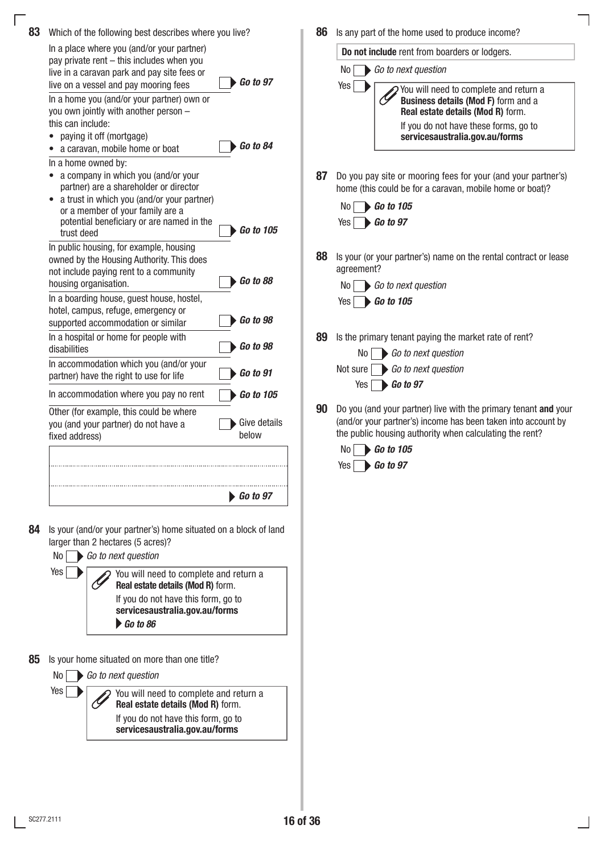| 83 | Which of the following best describes where you live?                                    |                                | 86 | Is any part of the home used to produce income?                                                                           |
|----|------------------------------------------------------------------------------------------|--------------------------------|----|---------------------------------------------------------------------------------------------------------------------------|
|    | In a place where you (and/or your partner)                                               |                                |    | Do not include rent from boarders or lodgers.                                                                             |
|    | pay private rent - this includes when you<br>live in a caravan park and pay site fees or |                                |    | Go to next question<br>No                                                                                                 |
|    | live on a vessel and pay mooring fees                                                    | <b>Go to 97</b>                |    | Yes<br>You will need to complete and return a                                                                             |
|    | In a home you (and/or your partner) own or<br>you own jointly with another person -      |                                |    | Business details (Mod F) form and a<br>Real estate details (Mod R) form.                                                  |
|    | this can include:                                                                        |                                |    | If you do not have these forms, go to                                                                                     |
|    | paying it off (mortgage)<br>a caravan, mobile home or boat                               | Go to 84                       |    | servicesaustralia.gov.au/forms                                                                                            |
|    | In a home owned by:                                                                      |                                |    |                                                                                                                           |
|    | • a company in which you (and/or your<br>partner) are a shareholder or director          |                                | 87 | Do you pay site or mooring fees for your (and your partner's)<br>home (this could be for a caravan, mobile home or boat)? |
|    | • a trust in which you (and/or your partner)<br>or a member of your family are a         |                                |    | $\bigtriangledown$ Go to 105<br>No                                                                                        |
|    | potential beneficiary or are named in the                                                |                                |    | <b>Go to 97</b><br>Yes                                                                                                    |
|    | trust deed                                                                               | Go to 105                      |    |                                                                                                                           |
|    | In public housing, for example, housing<br>owned by the Housing Authority. This does     |                                | 88 | Is your (or your partner's) name on the rental contract or lease                                                          |
|    | not include paying rent to a community                                                   |                                |    | agreement?                                                                                                                |
|    | housing organisation.                                                                    | Go to 88                       |    | Go to next question<br>No                                                                                                 |
|    | In a boarding house, guest house, hostel,<br>hotel, campus, refuge, emergency or         |                                |    | $\bigtriangledown$ Go to 105<br>Yes                                                                                       |
|    | supported accommodation or similar                                                       | Go to 98                       |    |                                                                                                                           |
|    | In a hospital or home for people with                                                    |                                | 89 | Is the primary tenant paying the market rate of rent?                                                                     |
|    | disabilities                                                                             | <b>Go to 98</b>                |    | Go to next question<br>No                                                                                                 |
|    | In accommodation which you (and/or your<br>partner) have the right to use for life       | <b>Go to 91</b>                |    | Go to next question<br>Not sure                                                                                           |
|    | In accommodation where you pay no rent                                                   | Go to 105                      |    | $\blacktriangleright$ Go to 97<br>Yes                                                                                     |
|    | Other (for example, this could be where                                                  |                                | 90 | Do you (and your partner) live with the primary tenant and your                                                           |
|    | you (and your partner) do not have a                                                     | Give details                   |    | (and/or your partner's) income has been taken into account by                                                             |
|    | fixed address)                                                                           | below                          |    | the public housing authority when calculating the rent?                                                                   |
|    |                                                                                          |                                |    | Go to 105<br>No                                                                                                           |
|    |                                                                                          |                                |    | <b>Go to 97</b><br>Yes                                                                                                    |
|    |                                                                                          | $\blacktriangleright$ Go to 97 |    |                                                                                                                           |
|    |                                                                                          |                                |    |                                                                                                                           |
| 84 | Is your (and/or your partner's) home situated on a block of land                         |                                |    |                                                                                                                           |
|    | larger than 2 hectares (5 acres)?                                                        |                                |    |                                                                                                                           |
|    | Go to next question<br>No                                                                |                                |    |                                                                                                                           |
|    | Yes<br>You will need to complete and return a<br>Real estate details (Mod R) form.       |                                |    |                                                                                                                           |
|    | If you do not have this form, go to<br>servicesaustralia.gov.au/forms                    |                                |    |                                                                                                                           |
|    | $\bigtriangledown$ Go to 86                                                              |                                |    |                                                                                                                           |
|    |                                                                                          |                                |    |                                                                                                                           |
| 85 | Is your home situated on more than one title?                                            |                                |    |                                                                                                                           |
|    | Go to next question<br>No                                                                |                                |    |                                                                                                                           |
|    | Yes<br>You will need to complete and return a                                            |                                |    |                                                                                                                           |
|    | Real estate details (Mod R) form.                                                        |                                |    |                                                                                                                           |
|    | If you do not have this form, go to                                                      |                                |    |                                                                                                                           |
|    | servicesaustralia.gov.au/forms                                                           |                                |    |                                                                                                                           |
|    |                                                                                          |                                |    |                                                                                                                           |

٦

 $\overline{\phantom{a}}$ 

 $\overline{\Gamma}$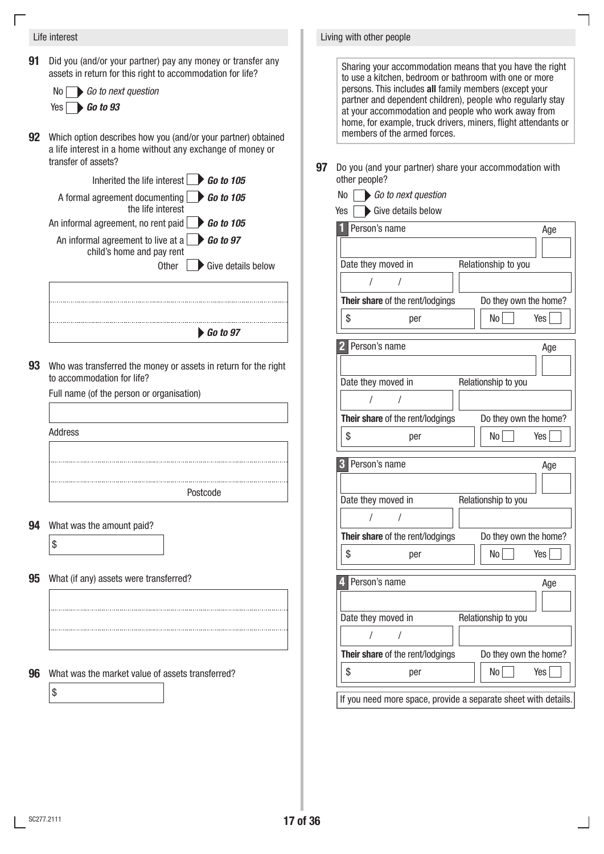|    | Life interest                                                                                                                                                                                                                                                                                                                                                                                                                                                                                                   |    | Living with other people                                                                                                                                                                  |     |
|----|-----------------------------------------------------------------------------------------------------------------------------------------------------------------------------------------------------------------------------------------------------------------------------------------------------------------------------------------------------------------------------------------------------------------------------------------------------------------------------------------------------------------|----|-------------------------------------------------------------------------------------------------------------------------------------------------------------------------------------------|-----|
| 91 | Did you (and/or your partner) pay any money or transfer any<br>assets in return for this right to accommodation for life?<br>Go to next question<br>No<br>Go to 93<br>Yes                                                                                                                                                                                                                                                                                                                                       |    | Sharing your accommodation<br>to use a kitchen, bedroom o<br>persons. This includes all fa<br>partner and dependent child<br>at your accommodation and<br>home, for example, truck di     |     |
| 92 | Which option describes how you (and/or your partner) obtained<br>a life interest in a home without any exchange of money or<br>transfer of assets?<br>Inherited the life interest<br>$\blacktriangleright$ Go to 105<br>A formal agreement documenting [<br>$\triangleright$ Go to 105<br>the life interest<br>An informal agreement, no rent paid<br>$\triangleright$ Go to 105<br>An informal agreement to live at a<br>$\triangleright$ Go to 97<br>child's home and pay rent<br>Other<br>Give details below | 97 | members of the armed forc<br>Do you (and your partner) sh<br>other people?<br>Go to next question<br>No<br>Give details below<br>Yes<br>Person's name<br>Date they moved in<br>$\sqrt{2}$ |     |
|    | $\blacktriangleright$ Go to 97                                                                                                                                                                                                                                                                                                                                                                                                                                                                                  |    | Their share of the rent/lodgin<br>\$<br>Person's name                                                                                                                                     | per |
| 93 | Who was transferred the money or assets in return for the right<br>to accommodation for life?<br>Full name (of the person or organisation)<br>Address                                                                                                                                                                                                                                                                                                                                                           |    | Date they moved in<br>$\prime$<br>Their share of the rent/lodgin<br>\$                                                                                                                    | per |
|    | Postcode                                                                                                                                                                                                                                                                                                                                                                                                                                                                                                        |    | 3 <sup>1</sup><br>Person's name<br>Date they moved in                                                                                                                                     |     |
| 94 | What was the amount paid?<br>\$                                                                                                                                                                                                                                                                                                                                                                                                                                                                                 |    | $\prime$<br>I<br>Their share of the rent/lodgin<br>\$                                                                                                                                     | per |
| 95 | What (if any) assets were transferred?                                                                                                                                                                                                                                                                                                                                                                                                                                                                          |    | Person's name<br>Date they moved in<br>1<br>1                                                                                                                                             |     |
|    |                                                                                                                                                                                                                                                                                                                                                                                                                                                                                                                 |    | Their share of the rent/lodgin<br>\$                                                                                                                                                      | per |

Sharing your accommodation means that you have the right to use a kitchen, bedroom or bathroom with one or more persons. This includes all family members (except your partner and dependent children), people who regularly stay at your accommodation and people who work away from Irivers, miners, flight attendants or ces.

٦

 $\overline{\phantom{a}}$ 

hare your accommodation with

| No<br>Go to next question                     |                       |
|-----------------------------------------------|-----------------------|
| Give details below<br>'es                     |                       |
| 1 <sub>1</sub><br>Person's name               | Age                   |
|                                               |                       |
| Date they moved in                            | Relationship to you   |
| 1                                             |                       |
| Their share of the rent/lodgings              | Do they own the home? |
| \$<br>per                                     | No<br>Yes             |
| $\mathbf{2}^{\parallel}$<br>Person's name     | Age                   |
|                                               |                       |
| Date they moved in                            | Relationship to you   |
| $\sqrt{2}$<br>T                               |                       |
| Their share of the rent/lodgings              | Do they own the home? |
| \$<br>per                                     | No<br>Yes I           |
| <b>3</b> Person's name                        | Age                   |
|                                               |                       |
| Date they moved in                            | Relationship to you   |
| $\overline{I}$<br>1                           |                       |
|                                               |                       |
| Their share of the rent/lodgings              | Do they own the home? |
| \$<br>per                                     | No<br>Yes             |
|                                               | Age                   |
| 4 Person's name                               |                       |
| Date they moved in                            | Relationship to you   |
| 1                                             |                       |
|                                               | Do they own the home? |
| Their share of the rent/lodgings<br>\$<br>per | No<br>Yes             |

 $\overline{1}$ 

 $\Box$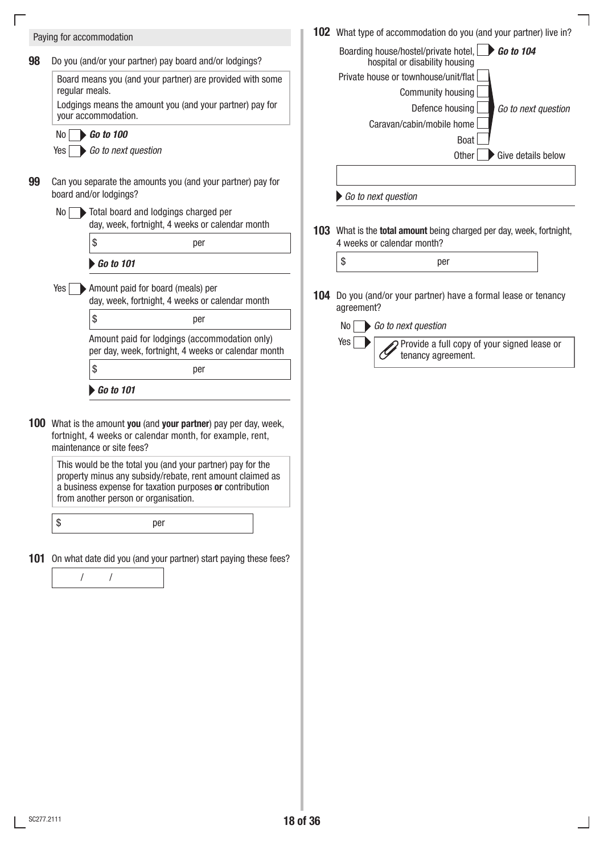|     | Paying for accommodation                                                                                                                                         | 102 What type of accommodation do you (and your partner) live in?                    |
|-----|------------------------------------------------------------------------------------------------------------------------------------------------------------------|--------------------------------------------------------------------------------------|
| 98  | Do you (and/or your partner) pay board and/or lodgings?                                                                                                          | Boarding house/hostel/private hotel,<br>Go to 104<br>hospital or disability housing  |
|     | Board means you (and your partner) are provided with some                                                                                                        | Private house or townhouse/unit/flat                                                 |
|     | regular meals.<br>Lodgings means the amount you (and your partner) pay for                                                                                       | Community housing                                                                    |
|     | your accommodation.                                                                                                                                              | Defence housing<br>Go to next question                                               |
|     | $\bigtriangledown$ Go to 100<br>No                                                                                                                               | Caravan/cabin/mobile home                                                            |
|     | Go to next question<br>Yes                                                                                                                                       | <b>Boat</b><br>Give details below<br><b>Other</b>                                    |
|     |                                                                                                                                                                  |                                                                                      |
| 99  | Can you separate the amounts you (and your partner) pay for<br>board and/or lodgings?                                                                            | Go to next question                                                                  |
|     | Total board and lodgings charged per<br>No<br>day, week, fortnight, 4 weeks or calendar month                                                                    | 103 What is the total amount being charged per day, week, fortnight,                 |
|     | \$<br>per                                                                                                                                                        | 4 weeks or calendar month?                                                           |
|     | $\triangleright$ Go to 101                                                                                                                                       | \$<br>per                                                                            |
|     | Amount paid for board (meals) per<br>Yes<br>day, week, fortnight, 4 weeks or calendar month                                                                      | <b>104</b> Do you (and/or your partner) have a formal lease or tenancy<br>agreement? |
|     | \$<br>per                                                                                                                                                        | Go to next question<br>No                                                            |
|     | Amount paid for lodgings (accommodation only)<br>per day, week, fortnight, 4 weeks or calendar month                                                             | Yes<br>Provide a full copy of your signed lease or<br>tenancy agreement.             |
|     | \$<br>per                                                                                                                                                        |                                                                                      |
|     | $\triangleright$ Go to 101                                                                                                                                       |                                                                                      |
|     |                                                                                                                                                                  |                                                                                      |
|     | <b>100</b> What is the amount you (and your partner) pay per day, week,<br>fortnight, 4 weeks or calendar month, for example, rent,<br>maintenance or site fees? |                                                                                      |
|     | This would be the total you (and your partner) pay for the                                                                                                       |                                                                                      |
|     | property minus any subsidy/rebate, rent amount claimed as<br>a business expense for taxation purposes or contribution<br>from another person or organisation.    |                                                                                      |
|     | \$<br>per                                                                                                                                                        |                                                                                      |
| 101 | On what date did you (and your partner) start paying these fees?                                                                                                 |                                                                                      |
|     | $\sqrt{2}$<br>$\sqrt{2}$                                                                                                                                         |                                                                                      |
|     |                                                                                                                                                                  |                                                                                      |
|     |                                                                                                                                                                  |                                                                                      |
|     |                                                                                                                                                                  |                                                                                      |
|     |                                                                                                                                                                  |                                                                                      |
|     |                                                                                                                                                                  |                                                                                      |
|     |                                                                                                                                                                  |                                                                                      |
|     |                                                                                                                                                                  |                                                                                      |
|     |                                                                                                                                                                  |                                                                                      |

 $\Box$ 

 $\frac{1}{2}$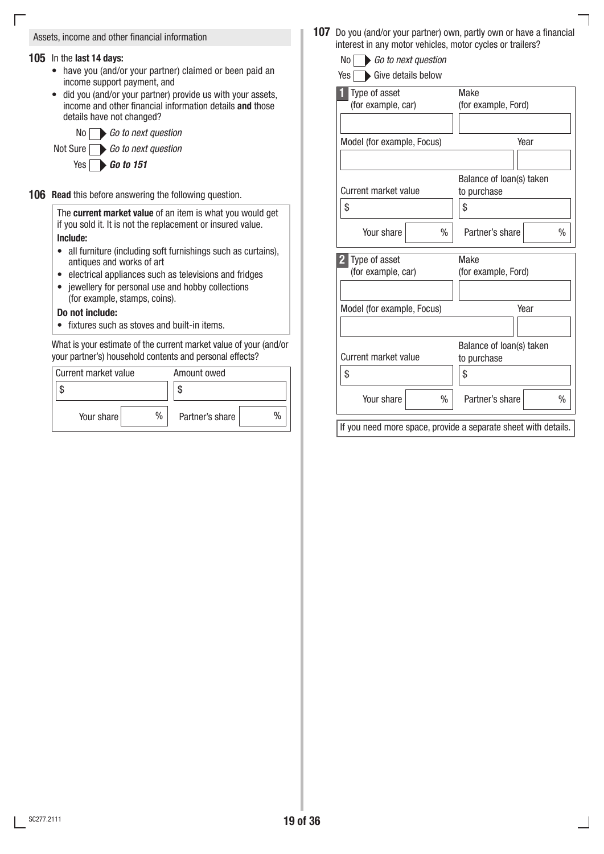# Assets, income and other financial information

# 105 In the last 14 days:

- have you (and/or your partner) claimed or been paid an income support payment, and
- did you (and/or your partner) provide us with your assets, income and other financial information details and those details have not changed?

| $No \frown Go$ to next question                    |
|----------------------------------------------------|
| Not Sure $\blacktriangleright$ Go to next question |
| Yes $\bigcirc$ Go to 151                           |

106 Read this before answering the following question.

The current market value of an item is what you would get if you sold it. It is not the replacement or insured value. Include:

- all furniture (including soft furnishings such as curtains), antiques and works of art
- electrical appliances such as televisions and fridges
- jewellery for personal use and hobby collections (for example, stamps, coins).

### Do not include:

• fixtures such as stoves and built-in items.

What is your estimate of the current market value of your (and/or your partner's) household contents and personal effects?

| Current market value | Amount owed     |  |  |
|----------------------|-----------------|--|--|
|                      |                 |  |  |
| $\%$<br>Your share   | Partner's share |  |  |

107 Do you (and/or your partner) own, partly own or have a financial interest in any motor vehicles, motor cycles or trailers?

| No <sub>1</sub> |  |  | Go to next question |
|-----------------|--|--|---------------------|
|-----------------|--|--|---------------------|

Yes Give details below

| Type of asset              | Make                     |
|----------------------------|--------------------------|
| (for example, car)         | (for example, Ford)      |
|                            |                          |
|                            |                          |
| Model (for example, Focus) | Year                     |
|                            |                          |
|                            | Balance of loan(s) taken |
| Current market value       | to purchase              |
| \$                         | \$                       |
| Your share<br>%            | Partner's share<br>$\%$  |
| Type of asset<br>2         | Make                     |
| (for example, car)         | (for example, Ford)      |
|                            |                          |
| Model (for example, Focus) | Year                     |
|                            |                          |
|                            |                          |
| Current market value       | Balance of loan(s) taken |
|                            | to purchase              |
| \$                         | \$                       |
|                            |                          |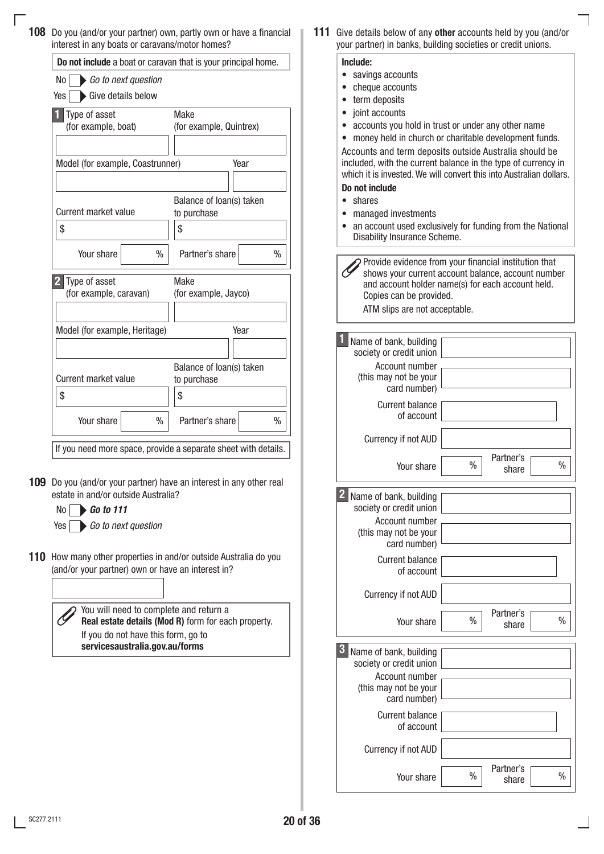| Do not include a boat or caravan that is your principal home.                                                                                                                       |  |
|-------------------------------------------------------------------------------------------------------------------------------------------------------------------------------------|--|
| Go to next question<br>No I                                                                                                                                                         |  |
| Give details below<br>Yes                                                                                                                                                           |  |
| Type of asset<br>Make<br>(for example, boat)<br>(for example, Quintrex)                                                                                                             |  |
|                                                                                                                                                                                     |  |
| Model (for example, Coastrunner)<br>Year                                                                                                                                            |  |
| Balance of loan(s) taken                                                                                                                                                            |  |
| Current market value<br>to purchase                                                                                                                                                 |  |
| \$<br>\$                                                                                                                                                                            |  |
| Your share<br>Partner's share<br>%<br>%                                                                                                                                             |  |
| Type of asset<br>Make<br>(for example, caravan)<br>(for example, Jayco)                                                                                                             |  |
| Model (for example, Heritage)<br>Year                                                                                                                                               |  |
|                                                                                                                                                                                     |  |
| Balance of loan(s) taken<br>Current market value<br>to purchase                                                                                                                     |  |
| \$<br>\$                                                                                                                                                                            |  |
| Your share<br>Partner's share<br>%<br>%                                                                                                                                             |  |
|                                                                                                                                                                                     |  |
| If you need more space, provide a separate sheet with details.                                                                                                                      |  |
| <b>109</b> Do you (and/or your partner) have an interest in any other real<br>estate in and/or outside Australia?<br>$\text{No}$ $\rightarrow$ Go to 111<br>Yes Go to next question |  |
| 110 How many other properties in and/or outside Australia do you<br>(and/or your partner) own or have an interest in?                                                               |  |
| You will need to complete and return a<br>Real estate details (Mod R) form for each property.<br>If you do not have this form, go to                                                |  |
| servicesaustralia.gov.au/forms                                                                                                                                                      |  |
|                                                                                                                                                                                     |  |
|                                                                                                                                                                                     |  |
|                                                                                                                                                                                     |  |
|                                                                                                                                                                                     |  |
|                                                                                                                                                                                     |  |

details below of any other accounts held by you (and/or partner) in banks, building societies or credit unions.

# lude:

- savings accounts
- cheque accounts
- term deposits
- oint accounts
- accounts you hold in trust or under any other name
- money held in church or charitable development funds.

ounts and term deposits outside Australia should be uded, with the current balance in the type of currency in ch it is invested. We will convert this into Australian dollars.

# not include

- shares
- managed investments
- an account used exclusively for funding from the National Disability Insurance Scheme.

2 Provide evidence from your financial institution that shows your current account balance, account number and account holder name(s) for each account held. Copies can be provided.

|  | ATM slips are not acceptable. |  |  |  |
|--|-------------------------------|--|--|--|
|--|-------------------------------|--|--|--|

| Name of bank, building<br>society or credit union       |               |                    |               |
|---------------------------------------------------------|---------------|--------------------|---------------|
| Account number<br>(this may not be your<br>card number) |               |                    |               |
| <b>Current balance</b><br>of account                    |               |                    |               |
| Currency if not AUD                                     |               |                    |               |
| Your share                                              | $\frac{0}{0}$ | Partner's<br>share | $\frac{0}{0}$ |
| Name of bank, building<br>society or credit union       |               |                    |               |
| Account number<br>(this may not be your<br>card number) |               |                    |               |
| <b>Current balance</b><br>of account                    |               |                    |               |
| Currency if not AUD                                     |               |                    |               |
| Your share                                              | $\frac{0}{0}$ | Partner's<br>share | $\frac{0}{0}$ |
| 3<br>Name of bank, building<br>society or credit union  |               |                    |               |
| Account number<br>(this may not be your<br>card number) |               |                    |               |
| <b>Current balance</b><br>of account                    |               |                    |               |
| Currency if not AUD                                     |               |                    |               |
| Your share                                              | $\frac{0}{0}$ | Partner's<br>share | $\frac{0}{0}$ |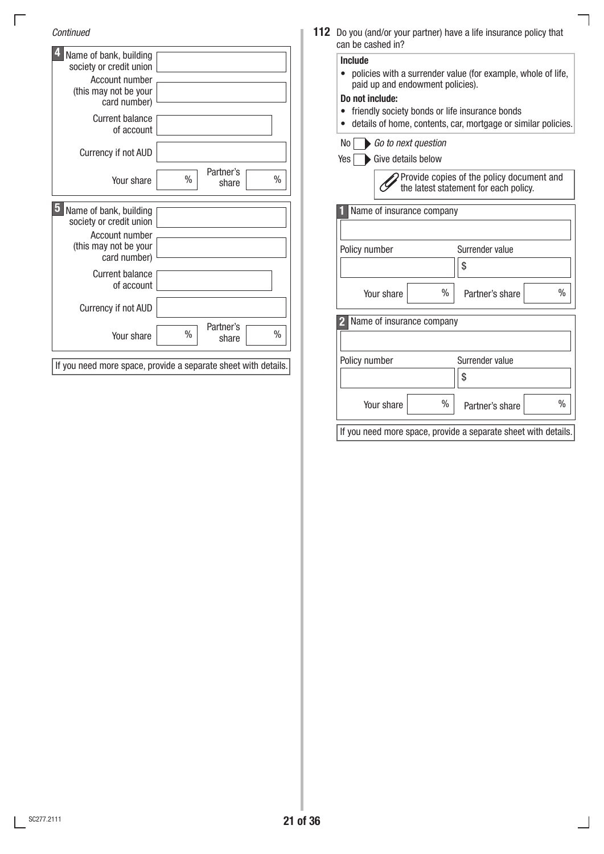# *Continued*

 $\Box$ 

| Name of bank, building<br>society or credit union<br>Account number<br>(this may not be your<br>card number) |                                                                |
|--------------------------------------------------------------------------------------------------------------|----------------------------------------------------------------|
| Current balance<br>of account                                                                                |                                                                |
| Currency if not AUD                                                                                          |                                                                |
| Your share                                                                                                   | Partner's<br>%<br>%<br>share                                   |
| $\overline{\mathbf{5}}$<br>Name of bank, building<br>society or credit union                                 |                                                                |
| Account number<br>(this may not be your<br>card number)                                                      |                                                                |
| Current balance<br>of account                                                                                |                                                                |
| Currency if not AUD                                                                                          |                                                                |
| Your share                                                                                                   | Partner's<br>%<br>%<br>share                                   |
|                                                                                                              | If you need more space, provide a separate sheet with details. |

| 112 Do you (and/or your partner) have a life insurance policy that |
|--------------------------------------------------------------------|
| can be cashed in?                                                  |

# Include

| • policies with a surrender value (for example, whole of life, |
|----------------------------------------------------------------|
| paid up and endowment policies).                               |

# Do not include:

|  |  |  |  |  | • friendly society bonds or life insurance bonds |  |
|--|--|--|--|--|--------------------------------------------------|--|
|--|--|--|--|--|--------------------------------------------------|--|

• details of home, contents, car, mortgage or similar policies.

*Go to next question* No

Yes Give details below

Provide copies of the policy document and Ĉ the latest statement for each policy.

1 Name of insurance company

Policy number Surrender value \$

Your share  $\begin{array}{c|c} \sim \end{array}$  % Partner's share  $\begin{array}{c|c} \sim \end{array}$  %

2 Name of insurance company

| Policy number |      | Surrender value |               |
|---------------|------|-----------------|---------------|
|               |      | S               |               |
| Your share    | $\%$ | Partner's share | $\frac{v}{n}$ |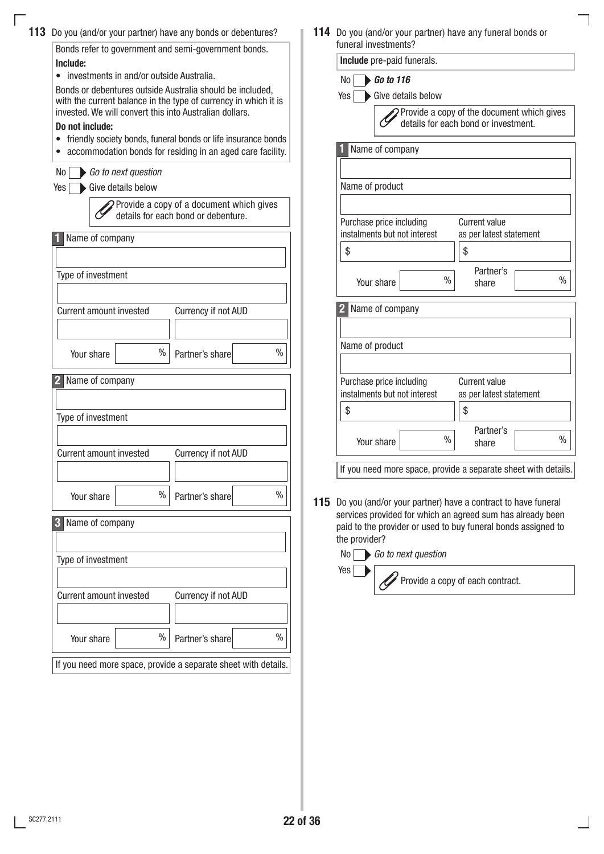| 113 Do you (and/or your partner) have any bonds or debentures?                                                                                                              |                                                               |  | 114 Do you (and/or your partner) have any funeral bonds or       |                                                                |
|-----------------------------------------------------------------------------------------------------------------------------------------------------------------------------|---------------------------------------------------------------|--|------------------------------------------------------------------|----------------------------------------------------------------|
| Bonds refer to government and semi-government bonds.<br>Include:<br>• investments in and/or outside Australia.<br>Bonds or debentures outside Australia should be included, |                                                               |  | funeral investments?<br>Include pre-paid funerals.               |                                                                |
|                                                                                                                                                                             |                                                               |  | $\bigtriangledown$ Go to 116<br>No I                             |                                                                |
|                                                                                                                                                                             |                                                               |  |                                                                  |                                                                |
| with the current balance in the type of currency in which it is                                                                                                             |                                                               |  | Give details below<br>Yes                                        |                                                                |
| invested. We will convert this into Australian dollars.                                                                                                                     |                                                               |  |                                                                  | Provide a copy of the document which gives                     |
| Do not include:                                                                                                                                                             |                                                               |  |                                                                  | details for each bond or investment.                           |
|                                                                                                                                                                             | friendly society bonds, funeral bonds or life insurance bonds |  |                                                                  |                                                                |
|                                                                                                                                                                             | accommodation bonds for residing in an aged care facility.    |  | Name of company                                                  |                                                                |
| Go to next question<br>No                                                                                                                                                   |                                                               |  |                                                                  |                                                                |
| Give details below<br>Yes                                                                                                                                                   |                                                               |  | Name of product                                                  |                                                                |
|                                                                                                                                                                             | Provide a copy of a document which gives                      |  |                                                                  |                                                                |
|                                                                                                                                                                             | details for each bond or debenture.                           |  |                                                                  |                                                                |
|                                                                                                                                                                             |                                                               |  | Purchase price including                                         | <b>Current value</b>                                           |
| Name of company                                                                                                                                                             |                                                               |  | instalments but not interest                                     | as per latest statement                                        |
|                                                                                                                                                                             |                                                               |  | \$                                                               | \$                                                             |
| Type of investment                                                                                                                                                          |                                                               |  |                                                                  | Partner's                                                      |
|                                                                                                                                                                             |                                                               |  | $\%$<br>Your share                                               | $\%$<br>share                                                  |
|                                                                                                                                                                             |                                                               |  |                                                                  |                                                                |
| Current amount invested                                                                                                                                                     | Currency if not AUD                                           |  | 2 Name of company                                                |                                                                |
|                                                                                                                                                                             |                                                               |  |                                                                  |                                                                |
|                                                                                                                                                                             |                                                               |  | Name of product                                                  |                                                                |
| $\%$<br>Your share                                                                                                                                                          | $\frac{0}{0}$<br>Partner's share                              |  |                                                                  |                                                                |
|                                                                                                                                                                             |                                                               |  |                                                                  |                                                                |
| Name of company                                                                                                                                                             |                                                               |  | Purchase price including                                         | Current value                                                  |
|                                                                                                                                                                             |                                                               |  | instalments but not interest                                     | as per latest statement                                        |
| Type of investment                                                                                                                                                          |                                                               |  | \$                                                               | \$                                                             |
|                                                                                                                                                                             |                                                               |  |                                                                  | Partner's                                                      |
|                                                                                                                                                                             |                                                               |  | $\%$<br>Your share                                               | $\%$<br>share                                                  |
| Current amount invested                                                                                                                                                     | Currency if not AUD                                           |  |                                                                  |                                                                |
|                                                                                                                                                                             |                                                               |  |                                                                  | If you need more space, provide a separate sheet with details. |
|                                                                                                                                                                             |                                                               |  |                                                                  |                                                                |
| $\%$<br>Your share                                                                                                                                                          | $\%$<br>Partner's share                                       |  | 115 Do you (and/or your partner) have a contract to have funeral |                                                                |
|                                                                                                                                                                             |                                                               |  |                                                                  | services provided for which an agreed sum has already been     |
| Name of company                                                                                                                                                             |                                                               |  |                                                                  | paid to the provider or used to buy funeral bonds assigned to  |
|                                                                                                                                                                             |                                                               |  | the provider?                                                    |                                                                |
|                                                                                                                                                                             |                                                               |  | Go to next question<br>No                                        |                                                                |
| Type of investment                                                                                                                                                          |                                                               |  | Yes                                                              |                                                                |
|                                                                                                                                                                             |                                                               |  |                                                                  | Provide a copy of each contract.                               |
| <b>Current amount invested</b>                                                                                                                                              | Currency if not AUD                                           |  |                                                                  |                                                                |
|                                                                                                                                                                             |                                                               |  |                                                                  |                                                                |
|                                                                                                                                                                             |                                                               |  |                                                                  |                                                                |
| $\%$<br>Your share                                                                                                                                                          | $\%$<br>Partner's share                                       |  |                                                                  |                                                                |
|                                                                                                                                                                             |                                                               |  |                                                                  |                                                                |
| If you need more space, provide a separate sheet with details.                                                                                                              |                                                               |  |                                                                  |                                                                |
|                                                                                                                                                                             |                                                               |  |                                                                  |                                                                |
|                                                                                                                                                                             |                                                               |  |                                                                  |                                                                |

 $\overline{\phantom{a}}$ 

 $\frac{1}{2}$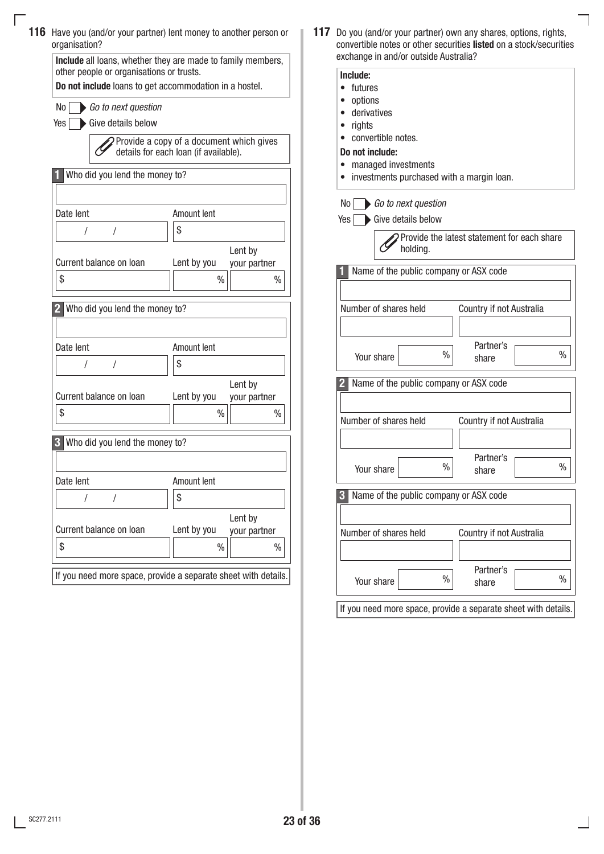| Do not include loans to get accommodation in a hostel.                         |                                          |  |  |  |
|--------------------------------------------------------------------------------|------------------------------------------|--|--|--|
| Go to next question<br>No l<br>Give details below<br>Yes                       |                                          |  |  |  |
|                                                                                | Provide a copy of a document which gives |  |  |  |
|                                                                                | details for each loan (if available).    |  |  |  |
| Who did you lend the money to?                                                 |                                          |  |  |  |
|                                                                                |                                          |  |  |  |
| Date lent                                                                      | Amount lent                              |  |  |  |
| $\prime$<br>I                                                                  | \$                                       |  |  |  |
| Current balance on loan                                                        | Lent by<br>Lent by you<br>your partner   |  |  |  |
| \$                                                                             | %<br>%                                   |  |  |  |
|                                                                                |                                          |  |  |  |
| 2<br>Who did you lend the money to?                                            |                                          |  |  |  |
|                                                                                |                                          |  |  |  |
| Date lent                                                                      | Amount lent                              |  |  |  |
|                                                                                | \$                                       |  |  |  |
| $\prime$<br>$\prime$                                                           |                                          |  |  |  |
|                                                                                | Lent by<br>Lent by you<br>your partner   |  |  |  |
| \$                                                                             | %<br>%                                   |  |  |  |
|                                                                                |                                          |  |  |  |
| Who did you lend the money to?                                                 |                                          |  |  |  |
|                                                                                |                                          |  |  |  |
| Current balance on loan<br>3 <sup>1</sup><br>Date lent<br>$\prime$<br>$\prime$ | Amount lent<br>\$                        |  |  |  |
|                                                                                | Lent by                                  |  |  |  |

Do you (and/or your partner) own any shares, options, rights, convertible notes or other securities listed on a stock/securities exchange in and/or outside Australia?

٦

| Include:                                                |                                             |
|---------------------------------------------------------|---------------------------------------------|
| futures                                                 |                                             |
| options                                                 |                                             |
| derivatives                                             |                                             |
|                                                         |                                             |
| rights                                                  |                                             |
| convertible notes.                                      |                                             |
| Do not include:                                         |                                             |
| managed investments                                     |                                             |
| investments purchased with a margin loan.<br>$\bullet$  |                                             |
| $\mathsf{No}$ $\blacktriangleright$ Go to next question |                                             |
| Yes <br>Give details below                              |                                             |
|                                                         | Provide the latest statement for each share |
| holding.                                                |                                             |
| Name of the public company or ASX code                  |                                             |
|                                                         |                                             |
| Number of shares held                                   | Country if not Australia                    |
|                                                         |                                             |
|                                                         |                                             |
| $\%$                                                    | Partner's<br>$\%$                           |
| Your share                                              | share                                       |
| Name of the public company or ASX code<br>2             |                                             |
|                                                         |                                             |
| Number of shares held                                   | Country if not Australia                    |
|                                                         |                                             |
|                                                         |                                             |
|                                                         | Partner's                                   |
| $\%$<br>Your share                                      | %<br>share                                  |
| Name of the public company or ASX code<br>3             |                                             |
|                                                         |                                             |
|                                                         |                                             |
|                                                         |                                             |
| Number of shares held                                   | Country if not Australia                    |
|                                                         |                                             |
| %<br>Your share                                         | Partner's<br>%<br>share                     |

 $\Box$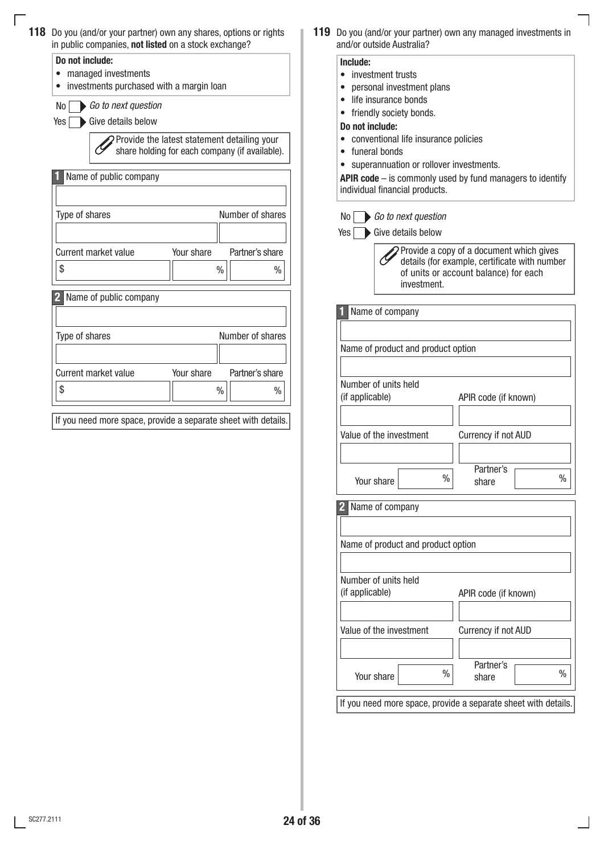| managed investments<br>$\bullet$                      |                                                                                               |                  |
|-------------------------------------------------------|-----------------------------------------------------------------------------------------------|------------------|
| investments purchased with a margin loan<br>$\bullet$ |                                                                                               |                  |
| Go to next question<br>No                             |                                                                                               |                  |
| Give details below<br>Yes                             |                                                                                               |                  |
|                                                       | Provide the latest statement detailing your<br>share holding for each company (if available). |                  |
| Name of public company                                |                                                                                               |                  |
|                                                       |                                                                                               |                  |
| Type of shares                                        |                                                                                               | Number of shares |
|                                                       |                                                                                               |                  |
| Current market value                                  | Your share                                                                                    | Partner's share  |
| \$                                                    | $\%$                                                                                          | %                |
| Name of public company<br>2                           |                                                                                               |                  |
| Type of shares                                        |                                                                                               | Number of shares |
|                                                       |                                                                                               |                  |
| Current market value                                  | Your share                                                                                    | Partner's share  |
| \$                                                    | $\%$                                                                                          | $\%$             |
|                                                       |                                                                                               |                  |

119 Do you (and/or your partner) own any managed investments in and/or outside Australia?

# Include:

- investment trusts
- personal investment plans
- life insurance bonds
- friendly society bonds.

# Do not include:

- conventional life insurance policies
- funeral bonds
- superannuation or rollover investments.

APIR  $code - is commonly used by fund managers to identify$ individual financial products.

# *Go to next question* No

Yes Give details below

Ĉ

Provide a copy of a document which gives details (for example, certificate with number of units or account balance) for each investment.

| Name of company                         |                            |
|-----------------------------------------|----------------------------|
| Name of product and product option      |                            |
| Number of units held<br>(if applicable) | APIR code (if known)       |
|                                         |                            |
| Value of the investment                 | Currency if not AUD        |
| %<br>Your share                         | Partner's<br>$\%$<br>share |
| Name of company                         |                            |
| Name of product and product option      |                            |
| Number of units held                    |                            |
| (if applicable)                         | APIR code (if known)       |

If you need more space, provide a separate sheet with details.

 $\%$ 

Currency if not AUD

Partner's share

 $\frac{0}{0}$ 

Value of the investment

Your share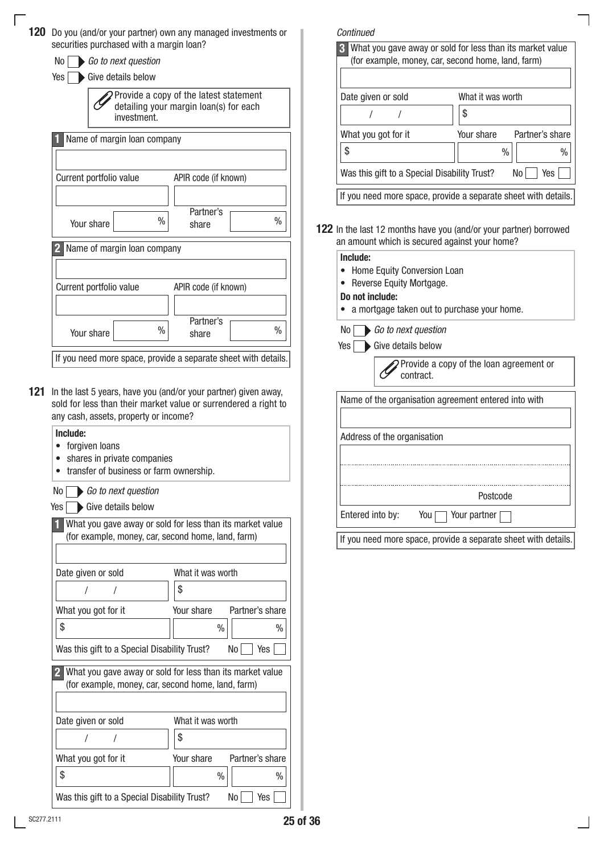| 120 | Do you (and/or your partner) own any managed investments or<br>securities purchased with a margin loan?                                                                                                   |  |  |  |  |  |
|-----|-----------------------------------------------------------------------------------------------------------------------------------------------------------------------------------------------------------|--|--|--|--|--|
|     | No l<br>Go to next question                                                                                                                                                                               |  |  |  |  |  |
|     | $Yes \rightarrow Give details below$                                                                                                                                                                      |  |  |  |  |  |
|     |                                                                                                                                                                                                           |  |  |  |  |  |
|     | Provide a copy of the latest statement<br>detailing your margin loan(s) for each<br>investment.                                                                                                           |  |  |  |  |  |
|     | Name of margin loan company                                                                                                                                                                               |  |  |  |  |  |
|     |                                                                                                                                                                                                           |  |  |  |  |  |
|     | Current portfolio value<br>APIR code (if known)                                                                                                                                                           |  |  |  |  |  |
|     | Partner's                                                                                                                                                                                                 |  |  |  |  |  |
|     | %<br>%<br>Your share<br>share                                                                                                                                                                             |  |  |  |  |  |
|     | 2<br>Name of margin loan company                                                                                                                                                                          |  |  |  |  |  |
|     |                                                                                                                                                                                                           |  |  |  |  |  |
|     | Current portfolio value<br>APIR code (if known)                                                                                                                                                           |  |  |  |  |  |
|     | Partner's                                                                                                                                                                                                 |  |  |  |  |  |
|     | $\%$<br>%<br>Your share<br>share                                                                                                                                                                          |  |  |  |  |  |
|     | If you need more space, provide a separate sheet with details.                                                                                                                                            |  |  |  |  |  |
| 121 | In the last 5 years, have you (and/or your partner) given away,<br>sold for less than their market value or surrendered a right to<br>any cash, assets, property or income?<br>Include:<br>forgiven loans |  |  |  |  |  |
|     | shares in private companies<br>transfer of business or farm ownership.                                                                                                                                    |  |  |  |  |  |
|     | No I<br>Go to next question                                                                                                                                                                               |  |  |  |  |  |
|     | Give details below<br>Yes                                                                                                                                                                                 |  |  |  |  |  |
|     | What you gave away or sold for less than its market value<br>(for example, money, car, second home, land, farm)                                                                                           |  |  |  |  |  |
|     | What it was worth<br>Date given or sold                                                                                                                                                                   |  |  |  |  |  |
|     | \$<br>$\prime$<br>I                                                                                                                                                                                       |  |  |  |  |  |
|     | What you got for it<br>Your share<br>Partner's share                                                                                                                                                      |  |  |  |  |  |
|     | \$<br>%<br>$\%$                                                                                                                                                                                           |  |  |  |  |  |
|     | Was this gift to a Special Disability Trust?<br>No l<br>Yes                                                                                                                                               |  |  |  |  |  |
|     | What you gave away or sold for less than its market value<br>(for example, money, car, second home, land, farm)                                                                                           |  |  |  |  |  |
|     |                                                                                                                                                                                                           |  |  |  |  |  |
|     | What it was worth<br>Date given or sold                                                                                                                                                                   |  |  |  |  |  |
|     | \$<br>I                                                                                                                                                                                                   |  |  |  |  |  |
|     | What you got for it<br>Your share<br>Partner's share                                                                                                                                                      |  |  |  |  |  |
|     | \$<br>%<br>$\%$                                                                                                                                                                                           |  |  |  |  |  |
|     | Was this gift to a Special Disability Trust?<br>No <sub>1</sub><br>Yes                                                                                                                                    |  |  |  |  |  |

| (for example, money, car, second home, land, farm)        | What you gave away or sold for less than its market value      |  |  |
|-----------------------------------------------------------|----------------------------------------------------------------|--|--|
| Date given or sold                                        | What it was worth                                              |  |  |
|                                                           | S                                                              |  |  |
| What you got for it                                       | Partner's share<br>Your share                                  |  |  |
| \$                                                        | $\frac{0}{0}$<br>‰                                             |  |  |
| Yes<br>No<br>Was this gift to a Special Disability Trust? |                                                                |  |  |
|                                                           | If you need more space, provide a separate sheet with details. |  |  |

٦

 $\overline{\phantom{a}}$ 

122 In the last 12 months have you (and/or your partner) borrowed an amount which is secured against your home?

| Include:<br>Home Equity Conversion Loan<br>Reverse Equity Mortgage.<br>Do not include:<br>a mortgage taken out to purchase your home.<br>Go to next question<br>No I<br>Give details below<br>Yes I<br>Provide a copy of the loan agreement or<br>contract. |
|-------------------------------------------------------------------------------------------------------------------------------------------------------------------------------------------------------------------------------------------------------------|
|                                                                                                                                                                                                                                                             |
|                                                                                                                                                                                                                                                             |
|                                                                                                                                                                                                                                                             |
|                                                                                                                                                                                                                                                             |
|                                                                                                                                                                                                                                                             |
|                                                                                                                                                                                                                                                             |
|                                                                                                                                                                                                                                                             |
|                                                                                                                                                                                                                                                             |
| Name of the organisation agreement entered into with                                                                                                                                                                                                        |
|                                                                                                                                                                                                                                                             |
| Address of the organisation                                                                                                                                                                                                                                 |
|                                                                                                                                                                                                                                                             |
|                                                                                                                                                                                                                                                             |
|                                                                                                                                                                                                                                                             |
| Postcode                                                                                                                                                                                                                                                    |
|                                                                                                                                                                                                                                                             |
| Entered into by:<br>You $\vert$<br>Your partner                                                                                                                                                                                                             |
| If you need more space, provide a separate sheet with details.                                                                                                                                                                                              |

 $\overline{\phantom{a}}$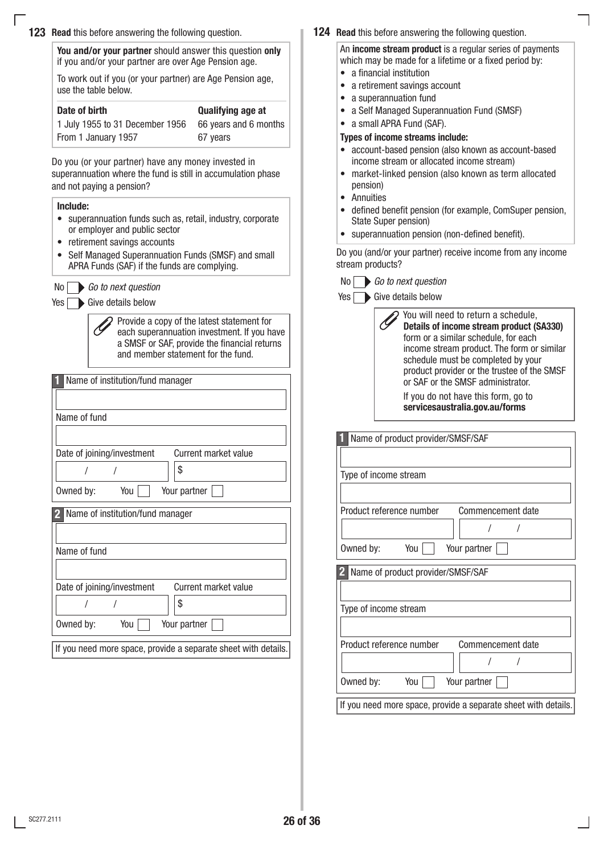| a financial institution<br>To work out if you (or your partner) are Age Pension age,<br>a retirement savings account<br>$\bullet$<br>use the table below.<br>a superannuation fund<br>$\bullet$<br>Date of birth<br><b>Qualifying age at</b><br>a Self Managed Superannuation Fund (SMSF)<br>$\bullet$<br>• a small APRA Fund (SAF).<br>1 July 1955 to 31 December 1956<br>66 years and 6 months<br>From 1 January 1957<br>67 years<br>Types of income streams include:<br>• account-based pension (also known as account-based<br>income stream or allocated income stream)<br>Do you (or your partner) have any money invested in<br>• market-linked pension (also known as term allocated<br>superannuation where the fund is still in accumulation phase<br>pension)<br>and not paying a pension?<br>• Annuities<br>Include:<br>defined benefit pension (for example, ComSuper pension,<br>• superannuation funds such as, retail, industry, corporate<br>State Super pension)<br>or employer and public sector<br>superannuation pension (non-defined benefit).<br>• retirement savings accounts<br>Do you (and/or your partner) receive income from any income<br>Self Managed Superannuation Funds (SMSF) and small<br>stream products?<br>APRA Funds (SAF) if the funds are complying.<br>Go to next question<br>No  <br>Go to next question<br>No<br>Give details below<br>Yes<br>Give details below<br>Yes<br>You will need to return a schedule,<br>Provide a copy of the latest statement for<br>Details of income stream product (SA330)<br>each superannuation investment. If you have<br>form or a similar schedule, for each<br>a SMSF or SAF, provide the financial returns<br>income stream product. The form or similar<br>and member statement for the fund.<br>schedule must be completed by your<br>product provider or the trustee of the SMSF<br>Name of institution/fund manager<br>or SAF or the SMSF administrator.<br>If you do not have this form, go to<br>servicesaustralia.gov.au/forms<br>Name of fund<br>Name of product provider/SMSF/SAF<br>Current market value<br>Date of joining/investment<br>\$<br>Type of income stream<br>Owned by:<br>Your partner<br>You<br>Product reference number<br>Commencement date<br>Name of institution/fund manager<br>Owned by:<br>Your partner<br>You $ $<br>Name of fund<br>Name of product provider/SMSF/SAF<br>Date of joining/investment<br>Current market value<br>\$<br>$\prime$<br>Type of income stream<br>Owned by:<br>Your partner<br>You<br>Product reference number<br>Commencement date<br>If you need more space, provide a separate sheet with details.<br>Owned by:<br>Your partner<br>You | You and/or your partner should answer this question only<br>if you and/or your partner are over Age Pension age. | An income stream product is a regular series of payments<br>which may be made for a lifetime or a fixed period by: |
|-------------------------------------------------------------------------------------------------------------------------------------------------------------------------------------------------------------------------------------------------------------------------------------------------------------------------------------------------------------------------------------------------------------------------------------------------------------------------------------------------------------------------------------------------------------------------------------------------------------------------------------------------------------------------------------------------------------------------------------------------------------------------------------------------------------------------------------------------------------------------------------------------------------------------------------------------------------------------------------------------------------------------------------------------------------------------------------------------------------------------------------------------------------------------------------------------------------------------------------------------------------------------------------------------------------------------------------------------------------------------------------------------------------------------------------------------------------------------------------------------------------------------------------------------------------------------------------------------------------------------------------------------------------------------------------------------------------------------------------------------------------------------------------------------------------------------------------------------------------------------------------------------------------------------------------------------------------------------------------------------------------------------------------------------------------------------------------------------------------------------------------------------------------------------------------------------------------------------------------------------------------------------------------------------------------------------------------------------------------------------------------------------------------------------------------------------------------------------------------------------------------------------------------------------------------------------------------------------------------------------------------------------------------------------------------|------------------------------------------------------------------------------------------------------------------|--------------------------------------------------------------------------------------------------------------------|
|                                                                                                                                                                                                                                                                                                                                                                                                                                                                                                                                                                                                                                                                                                                                                                                                                                                                                                                                                                                                                                                                                                                                                                                                                                                                                                                                                                                                                                                                                                                                                                                                                                                                                                                                                                                                                                                                                                                                                                                                                                                                                                                                                                                                                                                                                                                                                                                                                                                                                                                                                                                                                                                                                     |                                                                                                                  |                                                                                                                    |
|                                                                                                                                                                                                                                                                                                                                                                                                                                                                                                                                                                                                                                                                                                                                                                                                                                                                                                                                                                                                                                                                                                                                                                                                                                                                                                                                                                                                                                                                                                                                                                                                                                                                                                                                                                                                                                                                                                                                                                                                                                                                                                                                                                                                                                                                                                                                                                                                                                                                                                                                                                                                                                                                                     |                                                                                                                  |                                                                                                                    |
|                                                                                                                                                                                                                                                                                                                                                                                                                                                                                                                                                                                                                                                                                                                                                                                                                                                                                                                                                                                                                                                                                                                                                                                                                                                                                                                                                                                                                                                                                                                                                                                                                                                                                                                                                                                                                                                                                                                                                                                                                                                                                                                                                                                                                                                                                                                                                                                                                                                                                                                                                                                                                                                                                     |                                                                                                                  |                                                                                                                    |
|                                                                                                                                                                                                                                                                                                                                                                                                                                                                                                                                                                                                                                                                                                                                                                                                                                                                                                                                                                                                                                                                                                                                                                                                                                                                                                                                                                                                                                                                                                                                                                                                                                                                                                                                                                                                                                                                                                                                                                                                                                                                                                                                                                                                                                                                                                                                                                                                                                                                                                                                                                                                                                                                                     |                                                                                                                  |                                                                                                                    |
|                                                                                                                                                                                                                                                                                                                                                                                                                                                                                                                                                                                                                                                                                                                                                                                                                                                                                                                                                                                                                                                                                                                                                                                                                                                                                                                                                                                                                                                                                                                                                                                                                                                                                                                                                                                                                                                                                                                                                                                                                                                                                                                                                                                                                                                                                                                                                                                                                                                                                                                                                                                                                                                                                     |                                                                                                                  |                                                                                                                    |
|                                                                                                                                                                                                                                                                                                                                                                                                                                                                                                                                                                                                                                                                                                                                                                                                                                                                                                                                                                                                                                                                                                                                                                                                                                                                                                                                                                                                                                                                                                                                                                                                                                                                                                                                                                                                                                                                                                                                                                                                                                                                                                                                                                                                                                                                                                                                                                                                                                                                                                                                                                                                                                                                                     |                                                                                                                  |                                                                                                                    |
|                                                                                                                                                                                                                                                                                                                                                                                                                                                                                                                                                                                                                                                                                                                                                                                                                                                                                                                                                                                                                                                                                                                                                                                                                                                                                                                                                                                                                                                                                                                                                                                                                                                                                                                                                                                                                                                                                                                                                                                                                                                                                                                                                                                                                                                                                                                                                                                                                                                                                                                                                                                                                                                                                     |                                                                                                                  |                                                                                                                    |
|                                                                                                                                                                                                                                                                                                                                                                                                                                                                                                                                                                                                                                                                                                                                                                                                                                                                                                                                                                                                                                                                                                                                                                                                                                                                                                                                                                                                                                                                                                                                                                                                                                                                                                                                                                                                                                                                                                                                                                                                                                                                                                                                                                                                                                                                                                                                                                                                                                                                                                                                                                                                                                                                                     |                                                                                                                  |                                                                                                                    |
|                                                                                                                                                                                                                                                                                                                                                                                                                                                                                                                                                                                                                                                                                                                                                                                                                                                                                                                                                                                                                                                                                                                                                                                                                                                                                                                                                                                                                                                                                                                                                                                                                                                                                                                                                                                                                                                                                                                                                                                                                                                                                                                                                                                                                                                                                                                                                                                                                                                                                                                                                                                                                                                                                     |                                                                                                                  |                                                                                                                    |
|                                                                                                                                                                                                                                                                                                                                                                                                                                                                                                                                                                                                                                                                                                                                                                                                                                                                                                                                                                                                                                                                                                                                                                                                                                                                                                                                                                                                                                                                                                                                                                                                                                                                                                                                                                                                                                                                                                                                                                                                                                                                                                                                                                                                                                                                                                                                                                                                                                                                                                                                                                                                                                                                                     |                                                                                                                  |                                                                                                                    |
|                                                                                                                                                                                                                                                                                                                                                                                                                                                                                                                                                                                                                                                                                                                                                                                                                                                                                                                                                                                                                                                                                                                                                                                                                                                                                                                                                                                                                                                                                                                                                                                                                                                                                                                                                                                                                                                                                                                                                                                                                                                                                                                                                                                                                                                                                                                                                                                                                                                                                                                                                                                                                                                                                     |                                                                                                                  |                                                                                                                    |
|                                                                                                                                                                                                                                                                                                                                                                                                                                                                                                                                                                                                                                                                                                                                                                                                                                                                                                                                                                                                                                                                                                                                                                                                                                                                                                                                                                                                                                                                                                                                                                                                                                                                                                                                                                                                                                                                                                                                                                                                                                                                                                                                                                                                                                                                                                                                                                                                                                                                                                                                                                                                                                                                                     |                                                                                                                  |                                                                                                                    |
|                                                                                                                                                                                                                                                                                                                                                                                                                                                                                                                                                                                                                                                                                                                                                                                                                                                                                                                                                                                                                                                                                                                                                                                                                                                                                                                                                                                                                                                                                                                                                                                                                                                                                                                                                                                                                                                                                                                                                                                                                                                                                                                                                                                                                                                                                                                                                                                                                                                                                                                                                                                                                                                                                     |                                                                                                                  |                                                                                                                    |
|                                                                                                                                                                                                                                                                                                                                                                                                                                                                                                                                                                                                                                                                                                                                                                                                                                                                                                                                                                                                                                                                                                                                                                                                                                                                                                                                                                                                                                                                                                                                                                                                                                                                                                                                                                                                                                                                                                                                                                                                                                                                                                                                                                                                                                                                                                                                                                                                                                                                                                                                                                                                                                                                                     |                                                                                                                  |                                                                                                                    |
|                                                                                                                                                                                                                                                                                                                                                                                                                                                                                                                                                                                                                                                                                                                                                                                                                                                                                                                                                                                                                                                                                                                                                                                                                                                                                                                                                                                                                                                                                                                                                                                                                                                                                                                                                                                                                                                                                                                                                                                                                                                                                                                                                                                                                                                                                                                                                                                                                                                                                                                                                                                                                                                                                     |                                                                                                                  |                                                                                                                    |
|                                                                                                                                                                                                                                                                                                                                                                                                                                                                                                                                                                                                                                                                                                                                                                                                                                                                                                                                                                                                                                                                                                                                                                                                                                                                                                                                                                                                                                                                                                                                                                                                                                                                                                                                                                                                                                                                                                                                                                                                                                                                                                                                                                                                                                                                                                                                                                                                                                                                                                                                                                                                                                                                                     |                                                                                                                  |                                                                                                                    |
|                                                                                                                                                                                                                                                                                                                                                                                                                                                                                                                                                                                                                                                                                                                                                                                                                                                                                                                                                                                                                                                                                                                                                                                                                                                                                                                                                                                                                                                                                                                                                                                                                                                                                                                                                                                                                                                                                                                                                                                                                                                                                                                                                                                                                                                                                                                                                                                                                                                                                                                                                                                                                                                                                     |                                                                                                                  |                                                                                                                    |
|                                                                                                                                                                                                                                                                                                                                                                                                                                                                                                                                                                                                                                                                                                                                                                                                                                                                                                                                                                                                                                                                                                                                                                                                                                                                                                                                                                                                                                                                                                                                                                                                                                                                                                                                                                                                                                                                                                                                                                                                                                                                                                                                                                                                                                                                                                                                                                                                                                                                                                                                                                                                                                                                                     |                                                                                                                  |                                                                                                                    |
|                                                                                                                                                                                                                                                                                                                                                                                                                                                                                                                                                                                                                                                                                                                                                                                                                                                                                                                                                                                                                                                                                                                                                                                                                                                                                                                                                                                                                                                                                                                                                                                                                                                                                                                                                                                                                                                                                                                                                                                                                                                                                                                                                                                                                                                                                                                                                                                                                                                                                                                                                                                                                                                                                     |                                                                                                                  |                                                                                                                    |
|                                                                                                                                                                                                                                                                                                                                                                                                                                                                                                                                                                                                                                                                                                                                                                                                                                                                                                                                                                                                                                                                                                                                                                                                                                                                                                                                                                                                                                                                                                                                                                                                                                                                                                                                                                                                                                                                                                                                                                                                                                                                                                                                                                                                                                                                                                                                                                                                                                                                                                                                                                                                                                                                                     |                                                                                                                  |                                                                                                                    |
|                                                                                                                                                                                                                                                                                                                                                                                                                                                                                                                                                                                                                                                                                                                                                                                                                                                                                                                                                                                                                                                                                                                                                                                                                                                                                                                                                                                                                                                                                                                                                                                                                                                                                                                                                                                                                                                                                                                                                                                                                                                                                                                                                                                                                                                                                                                                                                                                                                                                                                                                                                                                                                                                                     |                                                                                                                  |                                                                                                                    |
|                                                                                                                                                                                                                                                                                                                                                                                                                                                                                                                                                                                                                                                                                                                                                                                                                                                                                                                                                                                                                                                                                                                                                                                                                                                                                                                                                                                                                                                                                                                                                                                                                                                                                                                                                                                                                                                                                                                                                                                                                                                                                                                                                                                                                                                                                                                                                                                                                                                                                                                                                                                                                                                                                     |                                                                                                                  |                                                                                                                    |
|                                                                                                                                                                                                                                                                                                                                                                                                                                                                                                                                                                                                                                                                                                                                                                                                                                                                                                                                                                                                                                                                                                                                                                                                                                                                                                                                                                                                                                                                                                                                                                                                                                                                                                                                                                                                                                                                                                                                                                                                                                                                                                                                                                                                                                                                                                                                                                                                                                                                                                                                                                                                                                                                                     |                                                                                                                  |                                                                                                                    |
|                                                                                                                                                                                                                                                                                                                                                                                                                                                                                                                                                                                                                                                                                                                                                                                                                                                                                                                                                                                                                                                                                                                                                                                                                                                                                                                                                                                                                                                                                                                                                                                                                                                                                                                                                                                                                                                                                                                                                                                                                                                                                                                                                                                                                                                                                                                                                                                                                                                                                                                                                                                                                                                                                     |                                                                                                                  |                                                                                                                    |
|                                                                                                                                                                                                                                                                                                                                                                                                                                                                                                                                                                                                                                                                                                                                                                                                                                                                                                                                                                                                                                                                                                                                                                                                                                                                                                                                                                                                                                                                                                                                                                                                                                                                                                                                                                                                                                                                                                                                                                                                                                                                                                                                                                                                                                                                                                                                                                                                                                                                                                                                                                                                                                                                                     |                                                                                                                  |                                                                                                                    |
|                                                                                                                                                                                                                                                                                                                                                                                                                                                                                                                                                                                                                                                                                                                                                                                                                                                                                                                                                                                                                                                                                                                                                                                                                                                                                                                                                                                                                                                                                                                                                                                                                                                                                                                                                                                                                                                                                                                                                                                                                                                                                                                                                                                                                                                                                                                                                                                                                                                                                                                                                                                                                                                                                     |                                                                                                                  |                                                                                                                    |
|                                                                                                                                                                                                                                                                                                                                                                                                                                                                                                                                                                                                                                                                                                                                                                                                                                                                                                                                                                                                                                                                                                                                                                                                                                                                                                                                                                                                                                                                                                                                                                                                                                                                                                                                                                                                                                                                                                                                                                                                                                                                                                                                                                                                                                                                                                                                                                                                                                                                                                                                                                                                                                                                                     |                                                                                                                  | If you need more space, provide a separate sheet with details.                                                     |

 $\overline{\phantom{a}}$ 

 $\overline{\phantom{a}}$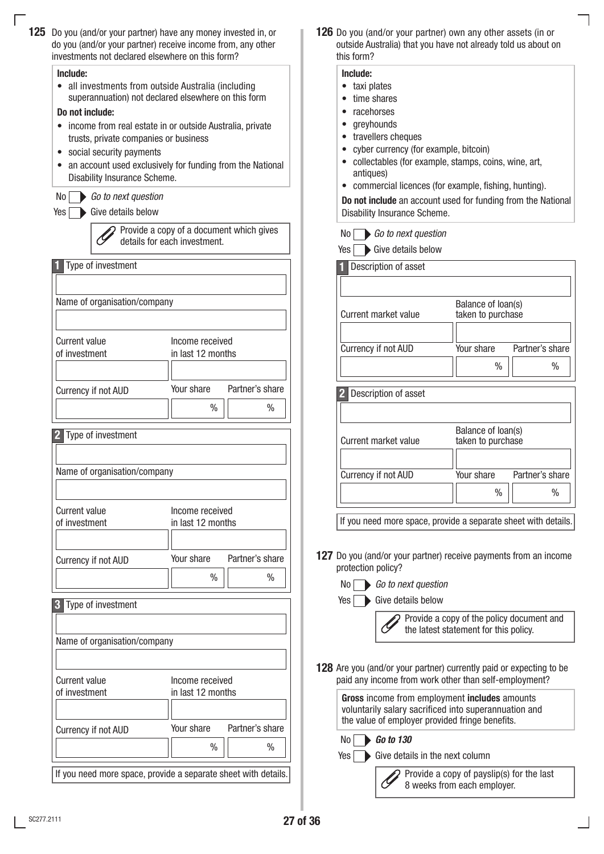|                                                                                                                                                                                                                                                                                                                                                                                                   | do you (and/or your partner) receive income from, any other<br>investments not declared elsewhere on this form? |                                  | outside Australi<br>this form?                                                                                                                    |
|---------------------------------------------------------------------------------------------------------------------------------------------------------------------------------------------------------------------------------------------------------------------------------------------------------------------------------------------------------------------------------------------------|-----------------------------------------------------------------------------------------------------------------|----------------------------------|---------------------------------------------------------------------------------------------------------------------------------------------------|
| Include:<br>all investments from outside Australia (including<br>$\bullet$<br>superannuation) not declared elsewhere on this form<br>Do not include:<br>• income from real estate in or outside Australia, private<br>trusts, private companies or business<br>social security payments<br>$\bullet$<br>an account used exclusively for funding from the National<br>Disability Insurance Scheme. |                                                                                                                 |                                  | Include:<br>taxi plates<br>$\bullet$<br>time share<br>racehorses<br>• greyhound:<br>• travellers o<br>• cyber curre<br>• collectable<br>antiques) |
| Go to next question<br>No                                                                                                                                                                                                                                                                                                                                                                         |                                                                                                                 |                                  | • commercia<br>Do not include                                                                                                                     |
| Yes<br>Give details below                                                                                                                                                                                                                                                                                                                                                                         |                                                                                                                 |                                  | <b>Disability Insu</b>                                                                                                                            |
|                                                                                                                                                                                                                                                                                                                                                                                                   | Provide a copy of a document which gives<br>details for each investment.                                        |                                  | $\blacktriangleright$ Go to<br>No                                                                                                                 |
| Type of investment                                                                                                                                                                                                                                                                                                                                                                                |                                                                                                                 |                                  | $\blacktriangleright$ Give<br>Yes                                                                                                                 |
|                                                                                                                                                                                                                                                                                                                                                                                                   |                                                                                                                 |                                  | <b>Description</b>                                                                                                                                |
| Name of organisation/company                                                                                                                                                                                                                                                                                                                                                                      |                                                                                                                 |                                  |                                                                                                                                                   |
|                                                                                                                                                                                                                                                                                                                                                                                                   |                                                                                                                 |                                  | Current marke                                                                                                                                     |
| Current value                                                                                                                                                                                                                                                                                                                                                                                     | Income received                                                                                                 |                                  |                                                                                                                                                   |
| of investment                                                                                                                                                                                                                                                                                                                                                                                     | in last 12 months                                                                                               |                                  | Currency if no                                                                                                                                    |
| Currency if not AUD                                                                                                                                                                                                                                                                                                                                                                               | Your share<br>%                                                                                                 | Partner's share<br>$\frac{0}{0}$ | $\overline{2}$<br>Description                                                                                                                     |
|                                                                                                                                                                                                                                                                                                                                                                                                   |                                                                                                                 |                                  |                                                                                                                                                   |
| Type of investment                                                                                                                                                                                                                                                                                                                                                                                |                                                                                                                 |                                  | Current marke                                                                                                                                     |
|                                                                                                                                                                                                                                                                                                                                                                                                   |                                                                                                                 |                                  |                                                                                                                                                   |
|                                                                                                                                                                                                                                                                                                                                                                                                   |                                                                                                                 |                                  |                                                                                                                                                   |
| Name of organisation/company                                                                                                                                                                                                                                                                                                                                                                      |                                                                                                                 |                                  |                                                                                                                                                   |
| Current value                                                                                                                                                                                                                                                                                                                                                                                     | Income received                                                                                                 |                                  |                                                                                                                                                   |
| of investment                                                                                                                                                                                                                                                                                                                                                                                     | in last 12 months                                                                                               |                                  |                                                                                                                                                   |
|                                                                                                                                                                                                                                                                                                                                                                                                   |                                                                                                                 |                                  |                                                                                                                                                   |
| Currency if not AUD                                                                                                                                                                                                                                                                                                                                                                               | Your share                                                                                                      | Partner's share                  | Currency if no<br>If you need mo<br>127 Do you (and/or<br>protection polic                                                                        |
|                                                                                                                                                                                                                                                                                                                                                                                                   | %                                                                                                               | %                                | No <sub>1</sub>                                                                                                                                   |
| <b>3</b> Type of investment                                                                                                                                                                                                                                                                                                                                                                       |                                                                                                                 |                                  | Yes                                                                                                                                               |
|                                                                                                                                                                                                                                                                                                                                                                                                   |                                                                                                                 |                                  |                                                                                                                                                   |
| Name of organisation/company                                                                                                                                                                                                                                                                                                                                                                      |                                                                                                                 |                                  |                                                                                                                                                   |
|                                                                                                                                                                                                                                                                                                                                                                                                   |                                                                                                                 |                                  | $\bullet$ Go to<br>$\blacktriangleright$ Give<br>128 Are you (and/or                                                                              |
| <b>Current value</b><br>of investment                                                                                                                                                                                                                                                                                                                                                             | Income received<br>in last 12 months                                                                            |                                  |                                                                                                                                                   |
|                                                                                                                                                                                                                                                                                                                                                                                                   |                                                                                                                 |                                  |                                                                                                                                                   |
| Currency if not AUD                                                                                                                                                                                                                                                                                                                                                                               | Your share<br>%                                                                                                 | Partner's share<br>%             | paid any incom<br><b>Gross</b> income<br>voluntarily sal<br>the value of er<br>No<br>$\blacktriangleright$ Go to                                  |

- or your partner) own any other assets (in or lia) that you have not already told us about on
	-
	- es
	-
	- ds
	- cheques
	- rency (for example, bitcoin)
	- es (for example, stamps, coins, wine, art,
	- ial licences (for example, fishing, hunting).

de an account used for funding from the National urance Scheme.

*Go to next question*

details below

| Description of asset |                                         |                 |
|----------------------|-----------------------------------------|-----------------|
|                      |                                         |                 |
| Current market value | Balance of loan(s)<br>taken to purchase |                 |
| Currency if not AUD  | Your share                              | Partner's share |
|                      | %                                       | $\%$            |
| Description of asset |                                         |                 |
|                      |                                         |                 |
| Current market value | Balance of loan(s)<br>taken to purchase |                 |
| Currency if not AUD  | Your share                              | Partner's share |
|                      | %                                       | %               |
|                      |                                         |                 |

Iore space, provide a separate sheet with details.

your partner) receive payments from an income cy?

*Go to next question*

details below

Provide a copy of the policy document and the latest statement for this policy.

or your partner) currently paid or expecting to be ne from work other than self-employment?

> e from employment includes amounts alary sacrificed into superannuation and employer provided fringe benefits.

*Go to 130*

details in the next column

Provide a copy of payslip(s) for the last 8 weeks from each employer.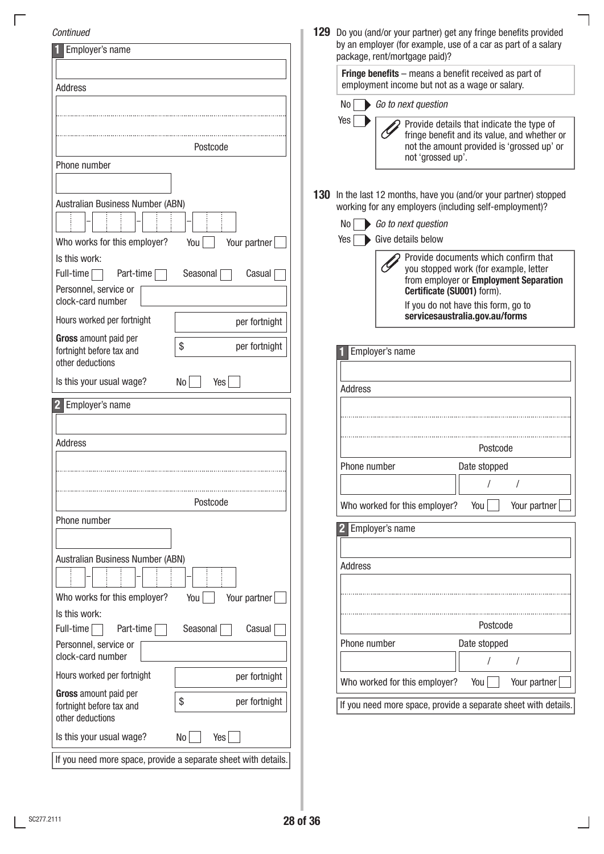| Employer's name<br><b>Address</b><br>Postcode                                                | by an employer (for example, use of a car as part of a salary<br>package, rent/mortgage paid)?<br><b>Fringe benefits</b> $-$ means a benefit received as part of<br>employment income but not as a wage or salary.<br>Go to next question<br>No |
|----------------------------------------------------------------------------------------------|-------------------------------------------------------------------------------------------------------------------------------------------------------------------------------------------------------------------------------------------------|
|                                                                                              |                                                                                                                                                                                                                                                 |
|                                                                                              |                                                                                                                                                                                                                                                 |
|                                                                                              |                                                                                                                                                                                                                                                 |
|                                                                                              | Yes<br>Provide details that indicate the type of<br>fringe benefit and its value, and whether or<br>not the amount provided is 'grossed up' or<br>not 'grossed up'.                                                                             |
| Phone number                                                                                 |                                                                                                                                                                                                                                                 |
| Australian Business Number (ABN)                                                             | <b>130</b> In the last 12 months, have you (and/or your partner) stopped<br>working for any employers (including self-employment)?                                                                                                              |
|                                                                                              | No<br>Go to next question                                                                                                                                                                                                                       |
| Your partner<br>Who works for this employer?<br>You                                          | Give details below<br>Yes                                                                                                                                                                                                                       |
| Is this work:<br>Full-time<br>Part-time<br>Seasonal<br>Casual<br>Personnel, service or       | Provide documents which confirm that<br>you stopped work (for example, letter<br>from employer or Employment Separation<br>Certificate (SU001) form).                                                                                           |
| clock-card number                                                                            | If you do not have this form, go to<br>servicesaustralia.gov.au/forms                                                                                                                                                                           |
| Hours worked per fortnight<br>per fortnight                                                  |                                                                                                                                                                                                                                                 |
| Gross amount paid per<br>\$<br>per fortnight<br>fortnight before tax and<br>other deductions | Employer's name                                                                                                                                                                                                                                 |
| Is this your usual wage?<br>No<br>Yes                                                        |                                                                                                                                                                                                                                                 |
| Employer's name                                                                              | Address                                                                                                                                                                                                                                         |
|                                                                                              |                                                                                                                                                                                                                                                 |
| <b>Address</b>                                                                               | Postcode                                                                                                                                                                                                                                        |
|                                                                                              | Phone number<br>Date stopped                                                                                                                                                                                                                    |
|                                                                                              |                                                                                                                                                                                                                                                 |
| Postcode                                                                                     | Who worked for this employer?<br>Your partner<br>You                                                                                                                                                                                            |
| Phone number                                                                                 | Employer's name                                                                                                                                                                                                                                 |
|                                                                                              |                                                                                                                                                                                                                                                 |
| Australian Business Number (ABN)                                                             | Address                                                                                                                                                                                                                                         |
|                                                                                              |                                                                                                                                                                                                                                                 |
| Your partner<br>Who works for this employer?<br>You                                          |                                                                                                                                                                                                                                                 |
| Is this work:                                                                                | Postcode                                                                                                                                                                                                                                        |
| Full-time<br>Part-time<br>Seasonal<br>Casual                                                 | Phone number<br>Date stopped                                                                                                                                                                                                                    |
| Personnel, service or<br>clock-card number                                                   | $\sqrt{2}$                                                                                                                                                                                                                                      |
| Hours worked per fortnight<br>per fortnight                                                  | Who worked for this employer?<br>Your partner<br>You                                                                                                                                                                                            |
| Gross amount paid per<br>\$<br>per fortnight<br>fortnight before tax and<br>other deductions | If you need more space, provide a separate sheet with details.                                                                                                                                                                                  |
| Is this your usual wage?<br>No<br>Yes                                                        |                                                                                                                                                                                                                                                 |
|                                                                                              |                                                                                                                                                                                                                                                 |

٦

 $\overline{\Gamma}$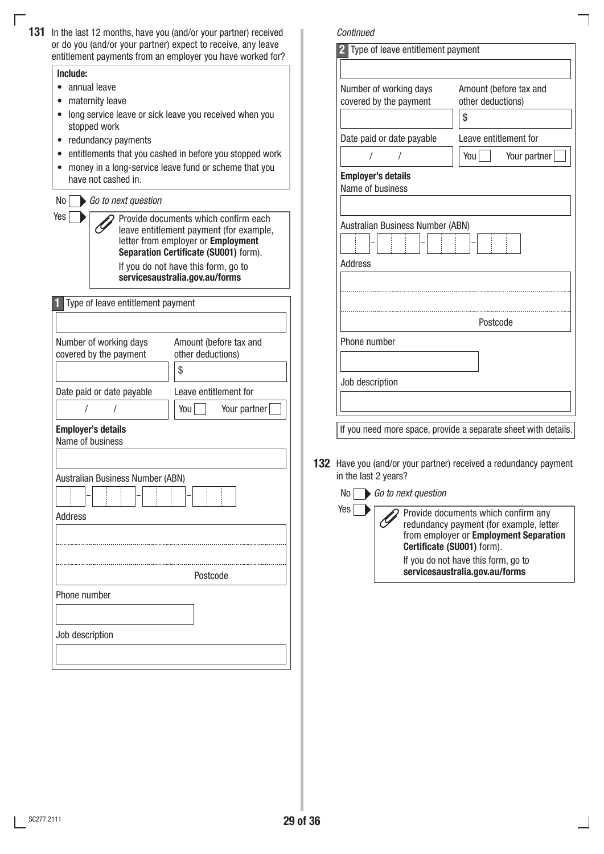| or do you (and/or your partner) expect to receive, any leave<br>entitlement payments from an employer you have worked for?                                                                                                                                                                                                                                                                                                                                                                                                               | Type of leave entitlement payment                                                                                                                                                                                                                                                                                                                               |
|------------------------------------------------------------------------------------------------------------------------------------------------------------------------------------------------------------------------------------------------------------------------------------------------------------------------------------------------------------------------------------------------------------------------------------------------------------------------------------------------------------------------------------------|-----------------------------------------------------------------------------------------------------------------------------------------------------------------------------------------------------------------------------------------------------------------------------------------------------------------------------------------------------------------|
| Include:<br>• annual leave<br>maternity leave<br>long service leave or sick leave you received when you<br>stopped work<br>redundancy payments<br>entitlements that you cashed in before you stopped work<br>money in a long-service leave fund or scheme that you<br>have not cashed in.<br>Go to next question<br>No I<br>Yes<br>Provide documents which confirm each<br>leave entitlement payment (for example,<br>letter from employer or Employment<br>Separation Certificate (SU001) form).<br>If you do not have this form, go to | Number of working days<br>Amount (before tax and<br>covered by the payment<br>other deductions)<br>\$<br>Date paid or date payable<br>Leave entitlement for<br>You  <br>Your partner<br><b>Employer's details</b><br>Name of business<br>Australian Business Number (ABN)<br>Address                                                                            |
| servicesaustralia.gov.au/forms<br>Type of leave entitlement payment                                                                                                                                                                                                                                                                                                                                                                                                                                                                      | Postcode                                                                                                                                                                                                                                                                                                                                                        |
| Number of working days<br>Amount (before tax and<br>covered by the payment<br>other deductions)<br>\$<br>Date paid or date payable<br>Leave entitlement for<br>You  <br>Your partner                                                                                                                                                                                                                                                                                                                                                     | Phone number<br>Job description                                                                                                                                                                                                                                                                                                                                 |
| <b>Employer's details</b><br>Name of business                                                                                                                                                                                                                                                                                                                                                                                                                                                                                            | If you need more space, provide a separate sheet with details.                                                                                                                                                                                                                                                                                                  |
| Australian Business Number (ABN)<br>Address<br>Postcode                                                                                                                                                                                                                                                                                                                                                                                                                                                                                  | 132 Have you (and/or your partner) received a redundancy payment<br>in the last 2 years?<br>Go to next question<br>No<br>Yes<br>Provide documents which confirm any<br>redundancy payment (for example, letter<br>from employer or Employment Separation<br>Certificate (SU001) form).<br>If you do not have this form, go to<br>servicesaustralia.gov.au/forms |
| Phone number<br>Job description                                                                                                                                                                                                                                                                                                                                                                                                                                                                                                          |                                                                                                                                                                                                                                                                                                                                                                 |
|                                                                                                                                                                                                                                                                                                                                                                                                                                                                                                                                          |                                                                                                                                                                                                                                                                                                                                                                 |
|                                                                                                                                                                                                                                                                                                                                                                                                                                                                                                                                          |                                                                                                                                                                                                                                                                                                                                                                 |

 $\overline{\phantom{a}}$ 

 $\overline{\phantom{a}}$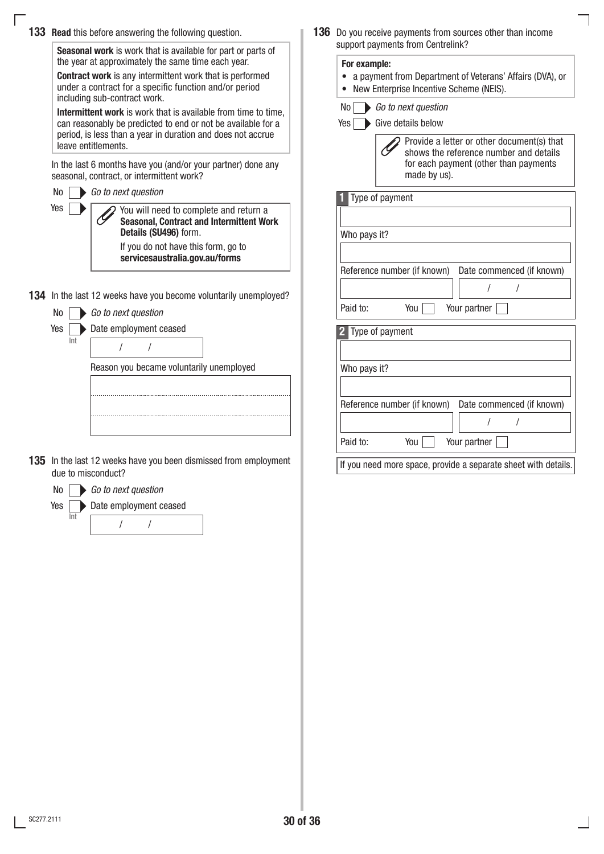|            | Seasonal work is work that is available for part or parts of<br>the year at approximately the same time each year.                                                                            |                   | support payments from Centrelink?         |                                                                                 |
|------------|-----------------------------------------------------------------------------------------------------------------------------------------------------------------------------------------------|-------------------|-------------------------------------------|---------------------------------------------------------------------------------|
|            | <b>Contract work</b> is any intermittent work that is performed<br>under a contract for a specific function and/or period<br>including sub-contract work.                                     | For example:      | • New Enterprise Incentive Scheme (NEIS). | • a payment from Department of Veterans' Affairs (DVA), or                      |
|            | Intermittent work is work that is available from time to time,<br>can reasonably be predicted to end or not be available for a<br>period, is less than a year in duration and does not accrue | No.<br>Yes        | Go to next question<br>Give details below | Provide a letter or other document(s) that                                      |
|            | leave entitlements.<br>In the last 6 months have you (and/or your partner) done any<br>seasonal, contract, or intermittent work?                                                              |                   | made by us).                              | shows the reference number and details<br>for each payment (other than payments |
| No         | Go to next question                                                                                                                                                                           | Type of payment   |                                           |                                                                                 |
| Yes        | You will need to complete and return a<br><b>Seasonal, Contract and Intermittent Work</b><br>Details (SU496) form.<br>If you do not have this form, go to<br>servicesaustralia.gov.au/forms   | Who pays it?      |                                           |                                                                                 |
| No         | 134 In the last 12 weeks have you become voluntarily unemployed?<br>Go to next question                                                                                                       | Paid to:          | Reference number (if known)<br>You        | Date commenced (if known)<br>Your partner                                       |
| Yes<br>Int | Date employment ceased<br>$\sqrt{2}$                                                                                                                                                          | 2 Type of payment |                                           |                                                                                 |
|            | Reason you became voluntarily unemployed                                                                                                                                                      | Who pays it?      |                                           |                                                                                 |
|            |                                                                                                                                                                                               |                   | Reference number (if known)               | Date commenced (if known)                                                       |
|            |                                                                                                                                                                                               | Paid to:          | You                                       | Your partner                                                                    |

٦

 $\overline{\phantom{a}}$ 

*Go to next question* No

Int  $\sqrt{1 + \sqrt{1 + \left(1 + \frac{1}{2}\right)}$ 

Yes | Date employment ceased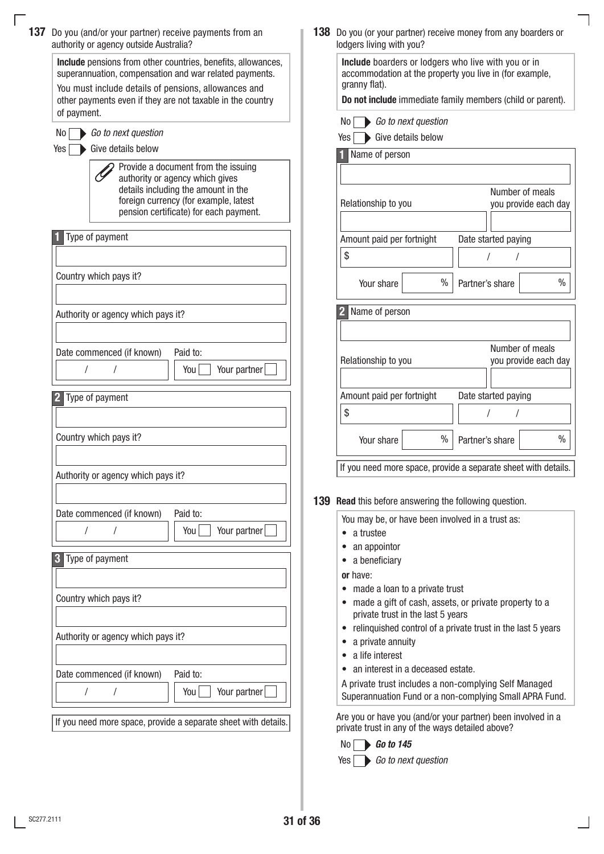| authority or agency outside Australia?<br>Include pensions from other countries, benefits, allowances,                                                                                           | lodgers living with you?<br>Include boarders or lodgers who live with you or in                                  |      |
|--------------------------------------------------------------------------------------------------------------------------------------------------------------------------------------------------|------------------------------------------------------------------------------------------------------------------|------|
| superannuation, compensation and war related payments.                                                                                                                                           | accommodation at the property you live in (for example,<br>granny flat).                                         |      |
| You must include details of pensions, allowances and<br>other payments even if they are not taxable in the country                                                                               | Do not include immediate family members (child or parent).                                                       |      |
| of payment.                                                                                                                                                                                      | Go to next question<br>No                                                                                        |      |
| Go to next question<br>No <sub>1</sub>                                                                                                                                                           | Give details below<br>Yes                                                                                        |      |
| Give details below<br>Yes                                                                                                                                                                        | Name of person                                                                                                   |      |
| Provide a document from the issuing<br>authority or agency which gives<br>details including the amount in the<br>foreign currency (for example, latest<br>pension certificate) for each payment. | Number of meals<br>Relationship to you<br>you provide each day                                                   |      |
| Type of payment                                                                                                                                                                                  | Amount paid per fortnight                                                                                        |      |
|                                                                                                                                                                                                  | Date started paying<br>\$                                                                                        |      |
|                                                                                                                                                                                                  |                                                                                                                  |      |
| Country which pays it?                                                                                                                                                                           | $\%$<br>Your share<br>Partner's share                                                                            | $\%$ |
| Authority or agency which pays it?                                                                                                                                                               | Name of person                                                                                                   |      |
|                                                                                                                                                                                                  |                                                                                                                  |      |
| Date commenced (if known)<br>Paid to:                                                                                                                                                            | Number of meals                                                                                                  |      |
| Your partner<br>You                                                                                                                                                                              | Relationship to you<br>you provide each day                                                                      |      |
|                                                                                                                                                                                                  |                                                                                                                  |      |
| Type of payment                                                                                                                                                                                  | Amount paid per fortnight<br>Date started paying                                                                 |      |
|                                                                                                                                                                                                  | \$                                                                                                               |      |
| Country which pays it?                                                                                                                                                                           | $\%$<br>Your share<br>Partner's share                                                                            | $\%$ |
| Authority or agency which pays it?                                                                                                                                                               | If you need more space, provide a separate sheet with details.                                                   |      |
|                                                                                                                                                                                                  |                                                                                                                  |      |
|                                                                                                                                                                                                  | <b>139 Read</b> this before answering the following question.                                                    |      |
| Date commenced (if known)<br>Paid to:                                                                                                                                                            | You may be, or have been involved in a trust as:                                                                 |      |
| $\prime$<br>Your partner<br>You                                                                                                                                                                  | $\bullet$ a trustee                                                                                              |      |
| Type of payment                                                                                                                                                                                  | an appointor<br>a beneficiary<br>$\bullet$                                                                       |      |
|                                                                                                                                                                                                  | or have:                                                                                                         |      |
|                                                                                                                                                                                                  | made a loan to a private trust<br>$\bullet$                                                                      |      |
| Country which pays it?                                                                                                                                                                           | • made a gift of cash, assets, or private property to a                                                          |      |
|                                                                                                                                                                                                  | private trust in the last 5 years<br>• relinquished control of a private trust in the last 5 years               |      |
| Authority or agency which pays it?                                                                                                                                                               | a private annuity<br>$\bullet$                                                                                   |      |
|                                                                                                                                                                                                  |                                                                                                                  |      |
|                                                                                                                                                                                                  | a life interest<br>$\bullet$                                                                                     |      |
|                                                                                                                                                                                                  | an interest in a deceased estate.<br>$\bullet$                                                                   |      |
| Date commenced (if known)<br>Paid to:<br>Your partner<br>You                                                                                                                                     | A private trust includes a non-complying Self Managed<br>Superannuation Fund or a non-complying Small APRA Fund. |      |
| If you need more space, provide a separate sheet with details.                                                                                                                                   | Are you or have you (and/or your partner) been involved in a<br>private trust in any of the ways detailed above? |      |
|                                                                                                                                                                                                  | $\bigtriangledown$ Go to 145<br>No  <br>Go to next question                                                      |      |

 $\overline{\phantom{a}}$ 

 $\overline{\phantom{a}}$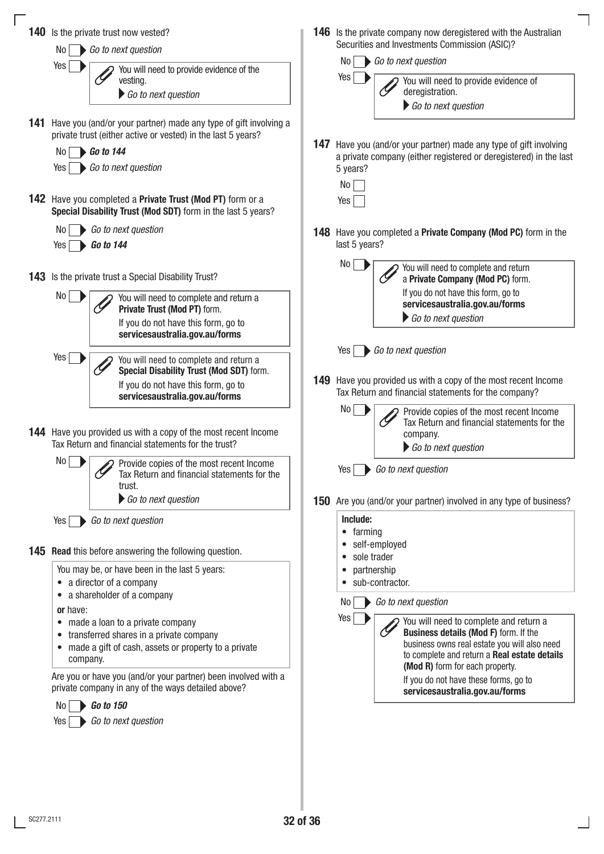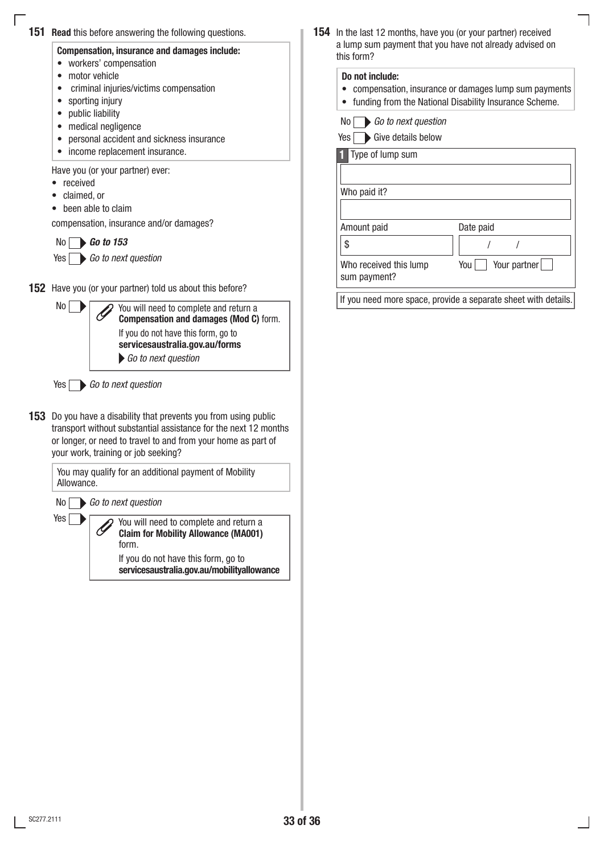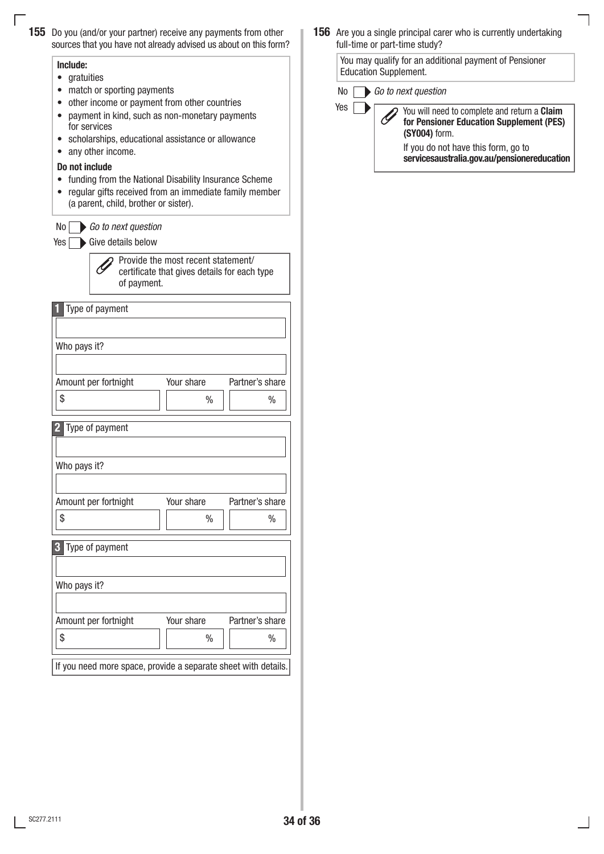| <b>155</b> Do you (and/or your partner) receive any payments from other<br>sources that you have not already advised us about on this form? |
|---------------------------------------------------------------------------------------------------------------------------------------------|
| Include:<br>• gratuities                                                                                                                    |
| • match or sporting payments                                                                                                                |
| • other income or payment from other countries                                                                                              |
| payment in kind, such as non-monetary payments                                                                                              |

- for services • scholarships, educational assistance or allowance
- any other income.

#### Do not include

- funding from the National Disability Insurance Scheme
- regular gifts received from an immediate family member (a parent, child, brother or sister).

*Go to next question* No

Yes | Give details below

Ĉ

Provide the most recent statement/ certificate that gives details for each type of payment.

| Type of payment                                                |            |                 |
|----------------------------------------------------------------|------------|-----------------|
|                                                                |            |                 |
| Who pays it?                                                   |            |                 |
|                                                                |            |                 |
| Amount per fortnight                                           | Your share | Partner's share |
| \$                                                             | $\%$       | $\%$            |
| 2<br>Type of payment                                           |            |                 |
| Who pays it?                                                   |            |                 |
| Amount per fortnight                                           | Your share | Partner's share |
| \$                                                             | $\%$       | $\%$            |
| 3<br>Type of payment                                           |            |                 |
| Who pays it?                                                   |            |                 |
| Amount per fortnight                                           | Your share | Partner's share |
| \$                                                             | $\%$       | %               |
| If you need more space, provide a separate sheet with details. |            |                 |

**156** Are you a single principal carer who is currently undertaking full-time or part-time study?

> You may qualify for an additional payment of Pensioner Education Supplement.

No *Go to next question*

Yes

 $\overline{\mathscr{G}}$ You will need to complete and return a Claim for Pensioner Education Supplement (PES) (SY004) form.

If you do not have this form, go to servicesaustralia.gov.au/pensionereducation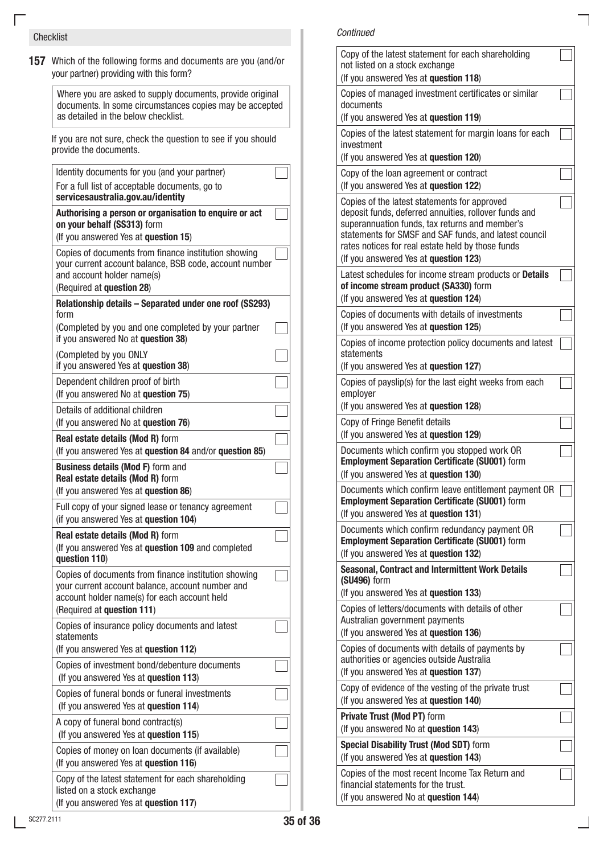$\Box$ 

# 157 Which of the following forms and documents are you (and/or your partner) providing with this form?

Where you are asked to supply documents, provide original documents. In some circumstances copies may be accepted as detailed in the below checklist.

If you are not sure, check the question to see if you should provide the documents.

| Identity documents for you (and your partner)                                                                                                                                          |  |
|----------------------------------------------------------------------------------------------------------------------------------------------------------------------------------------|--|
| For a full list of acceptable documents, go to<br>servicesaustralia.gov.au/identity                                                                                                    |  |
| Authorising a person or organisation to enquire or act<br>on your behalf (SS313) form<br>(If you answered Yes at question 15)                                                          |  |
| Copies of documents from finance institution showing<br>your current account balance, BSB code, account number<br>and account holder name(s)<br>(Required at question 28)              |  |
| Relationship details - Separated under one roof (SS293)<br>form                                                                                                                        |  |
| (Completed by you and one completed by your partner<br>if you answered No at question 38)                                                                                              |  |
| (Completed by you ONLY<br>if you answered Yes at question 38)                                                                                                                          |  |
| Dependent children proof of birth<br>(If you answered No at question 75)                                                                                                               |  |
| Details of additional children<br>(If you answered No at question 76)                                                                                                                  |  |
| Real estate details (Mod R) form<br>(If you answered Yes at question 84 and/or question 85)                                                                                            |  |
| <b>Business details (Mod F)</b> form and<br>Real estate details (Mod R) form<br>(If you answered Yes at question 86)                                                                   |  |
| Full copy of your signed lease or tenancy agreement<br>(if you answered Yes at question 104)                                                                                           |  |
| <b>Real estate details (Mod R)</b> form<br>(If you answered Yes at question 109 and completed<br>question 110)                                                                         |  |
| Copies of documents from finance institution showing<br>your current account balance, account number and<br>account holder name(s) for each account held<br>(Required at question 111) |  |
| Copies of insurance policy documents and latest<br>statements<br>(If you answered Yes at question 112)                                                                                 |  |
| Copies of investment bond/debenture documents<br>(If you answered Yes at question 113)                                                                                                 |  |
| Copies of funeral bonds or funeral investments<br>(If you answered Yes at question 114)                                                                                                |  |
| A copy of funeral bond contract(s)<br>(If you answered Yes at question 115)                                                                                                            |  |
| Copies of money on loan documents (if available)<br>(If you answered Yes at question 116)                                                                                              |  |
| Copy of the latest statement for each shareholding<br>listed on a stock exchange<br>(If you answered Yes at question 117)                                                              |  |

# *Continued*

| Copy of the latest statement for each shareholding<br>not listed on a stock exchange<br>(If you answered Yes at question 118)                                                                                                                                                                                  |  |
|----------------------------------------------------------------------------------------------------------------------------------------------------------------------------------------------------------------------------------------------------------------------------------------------------------------|--|
| Copies of managed investment certificates or similar<br>documents                                                                                                                                                                                                                                              |  |
| (If you answered Yes at question 119)                                                                                                                                                                                                                                                                          |  |
| Copies of the latest statement for margin loans for each<br>investment                                                                                                                                                                                                                                         |  |
| (If you answered Yes at question 120)                                                                                                                                                                                                                                                                          |  |
| Copy of the loan agreement or contract<br>(If you answered Yes at question 122)                                                                                                                                                                                                                                |  |
|                                                                                                                                                                                                                                                                                                                |  |
| Copies of the latest statements for approved<br>deposit funds, deferred annuities, rollover funds and<br>superannuation funds, tax returns and member's<br>statements for SMSF and SAF funds, and latest council<br>rates notices for real estate held by those funds<br>(If you answered Yes at question 123) |  |
| Latest schedules for income stream products or Details<br>of income stream product (SA330) form<br>(If you answered Yes at question 124)                                                                                                                                                                       |  |
| Copies of documents with details of investments                                                                                                                                                                                                                                                                |  |
| (If you answered Yes at question 125)                                                                                                                                                                                                                                                                          |  |
| Copies of income protection policy documents and latest<br>statements<br>(If you answered Yes at question 127)                                                                                                                                                                                                 |  |
| Copies of payslip(s) for the last eight weeks from each                                                                                                                                                                                                                                                        |  |
| employer                                                                                                                                                                                                                                                                                                       |  |
| (If you answered Yes at question 128)                                                                                                                                                                                                                                                                          |  |
| Copy of Fringe Benefit details<br>(If you answered Yes at question 129)                                                                                                                                                                                                                                        |  |
| Documents which confirm you stopped work OR                                                                                                                                                                                                                                                                    |  |
| <b>Employment Separation Certificate (SU001) form</b><br>(If you answered Yes at question 130)                                                                                                                                                                                                                 |  |
| Documents which confirm leave entitlement payment OR<br><b>Employment Separation Certificate (SU001) form</b><br>(If you answered Yes at question 131)                                                                                                                                                         |  |
| Documents which confirm redundancy payment OR<br><b>Employment Separation Certificate (SU001) form</b><br>(If you answered Yes at question 132)                                                                                                                                                                |  |
| <b>Seasonal, Contract and Intermittent Work Details</b>                                                                                                                                                                                                                                                        |  |
| (SU496) form<br>(If you answered Yes at question 133)                                                                                                                                                                                                                                                          |  |
| Copies of letters/documents with details of other<br>Australian government payments<br>(If you answered Yes at question 136)                                                                                                                                                                                   |  |
| Copies of documents with details of payments by<br>authorities or agencies outside Australia<br>(If you answered Yes at question 137)                                                                                                                                                                          |  |
| Copy of evidence of the vesting of the private trust<br>(If you answered Yes at question 140)                                                                                                                                                                                                                  |  |
| <b>Private Trust (Mod PT)</b> form<br>(If you answered No at question 143)                                                                                                                                                                                                                                     |  |
| <b>Special Disability Trust (Mod SDT) form</b><br>(If you answered Yes at question 143)                                                                                                                                                                                                                        |  |
| Copies of the most recent Income Tax Return and<br>financial statements for the trust.<br>(If you answered No at question 144)                                                                                                                                                                                 |  |